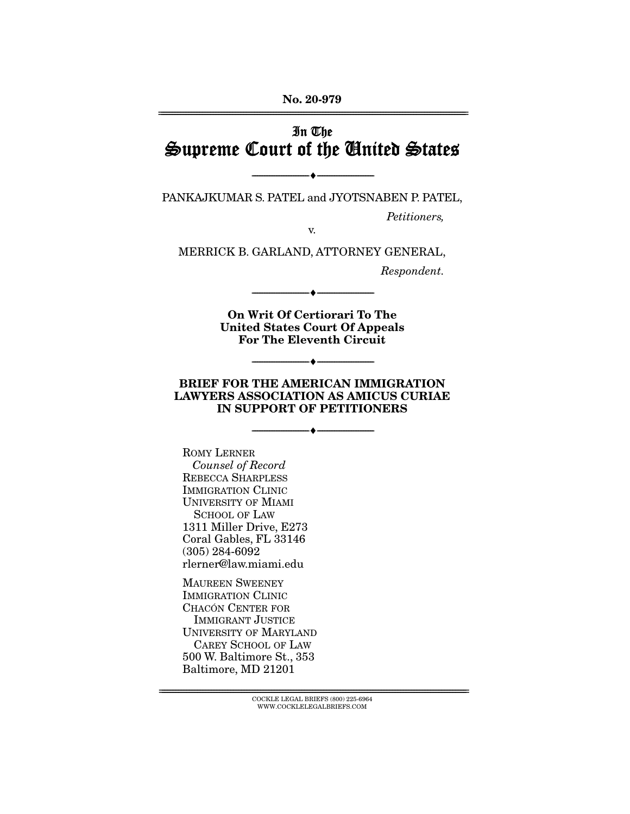**No. 20-979**  ================================================================================================================

# In The Supreme Court of the United States

PANKAJKUMAR S. PATEL and JYOTSNABEN P. PATEL,

--------------------------------- ♦ ---------------------------------

Petitioners,

v.

MERRICK B. GARLAND, ATTORNEY GENERAL,

Respondent.

**On Writ Of Certiorari To The United States Court Of Appeals For The Eleventh Circuit** 

--------------------------------- ♦ ---------------------------------

### **BRIEF FOR THE AMERICAN IMMIGRATION LAWYERS ASSOCIATION AS AMICUS CURIAE IN SUPPORT OF PETITIONERS**

--------------------------------- ♦ ---------------------------------

--------------------------------- ♦ ---------------------------------

ROMY LERNER Counsel of Record REBECCA SHARPLESS IMMIGRATION CLINIC UNIVERSITY OF MIAMI SCHOOL OF LAW 1311 Miller Drive, E273 Coral Gables, FL 33146 (305) 284-6092 rlerner@law.miami.edu

MAUREEN SWEENEY IMMIGRATION CLINIC CHACÓN CENTER FOR IMMIGRANT JUSTICE UNIVERSITY OF MARYLAND CAREY SCHOOL OF LAW 500 W. Baltimore St., 353 Baltimore, MD 21201

================================================================================================================ COCKLE LEGAL BRIEFS (800) 225-6964 WWW.COCKLELEGALBRIEFS.COM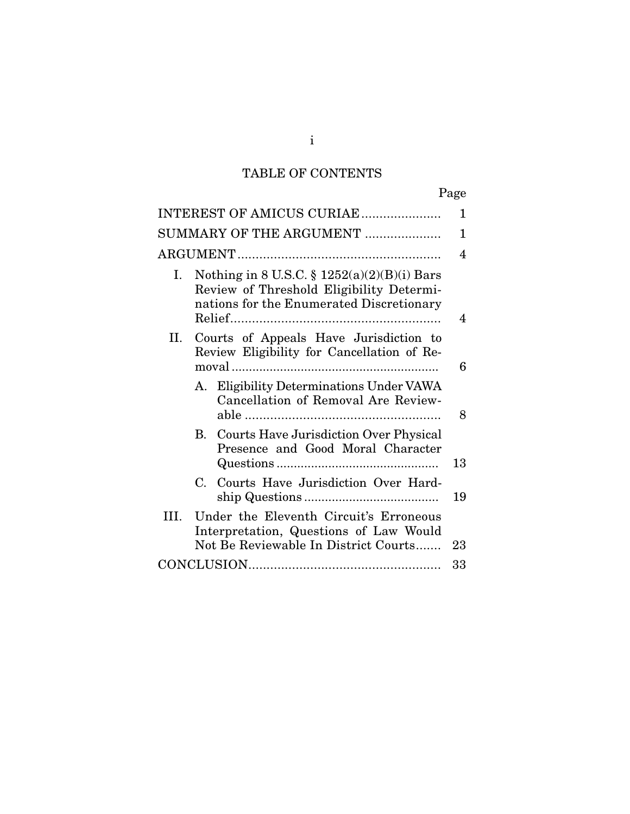# TABLE OF CONTENTS

|--|

|    |                       | INTEREST OF AMICUS CURIAE                                                                                                             | 1  |
|----|-----------------------|---------------------------------------------------------------------------------------------------------------------------------------|----|
|    |                       | SUMMARY OF THE ARGUMENT                                                                                                               | 1  |
|    |                       |                                                                                                                                       | 4  |
| Ι. |                       | Nothing in 8 U.S.C. § $1252(a)(2)(B)(i)$ Bars<br>Review of Threshold Eligibility Determi-<br>nations for the Enumerated Discretionary | 4  |
| П. |                       | Courts of Appeals Have Jurisdiction to<br>Review Eligibility for Cancellation of Re-                                                  | 6  |
|    |                       | A. Eligibility Determinations Under VAWA<br>Cancellation of Removal Are Review-                                                       | 8  |
|    |                       | <b>B.</b> Courts Have Jurisdiction Over Physical<br>Presence and Good Moral Character                                                 | 13 |
|    | $\mathcal{C}_{\cdot}$ | Courts Have Jurisdiction Over Hard-                                                                                                   | 19 |
| Ш. |                       | Under the Eleventh Circuit's Erroneous<br>Interpretation, Questions of Law Would<br>Not Be Reviewable In District Courts              | 23 |
|    |                       |                                                                                                                                       | 33 |

i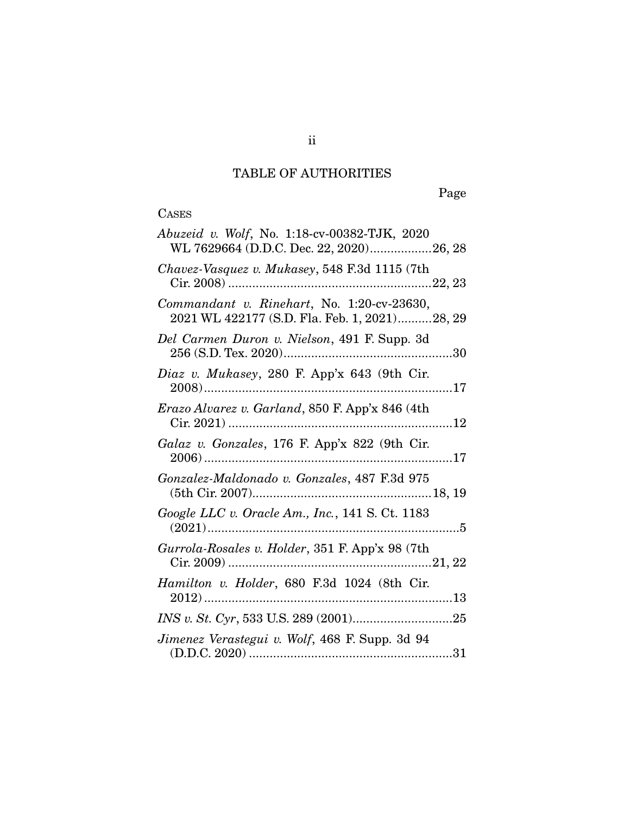# TABLE OF AUTHORITIES

Page

## CASES

| Abuzeid v. Wolf, No. 1:18-cv-00382-TJK, 2020<br>WL 7629664 (D.D.C. Dec. 22, 2020)26, 28     |
|---------------------------------------------------------------------------------------------|
| Chavez-Vasquez v. Mukasey, 548 F.3d 1115 (7th                                               |
| Commandant v. Rinehart, No. 1:20-cv-23630,<br>2021 WL 422177 (S.D. Fla. Feb. 1, 2021)28, 29 |
| Del Carmen Duron v. Nielson, 491 F. Supp. 3d                                                |
| Diaz v. Mukasey, 280 F. App'x 643 (9th Cir.                                                 |
| Erazo Alvarez v. Garland, 850 F. App'x 846 (4th<br>$Cir. 2021)$                             |
| Galaz v. Gonzales, 176 F. App'x 822 (9th Cir.                                               |
| Gonzalez-Maldonado v. Gonzales, 487 F.3d 975                                                |
| Google LLC v. Oracle Am., Inc., 141 S. Ct. 1183                                             |
| Gurrola-Rosales v. Holder, 351 F. App'x 98 (7th                                             |
| Hamilton v. Holder, 680 F.3d 1024 (8th Cir.                                                 |
|                                                                                             |
| Jimenez Verastegui v. Wolf, 468 F. Supp. 3d 94                                              |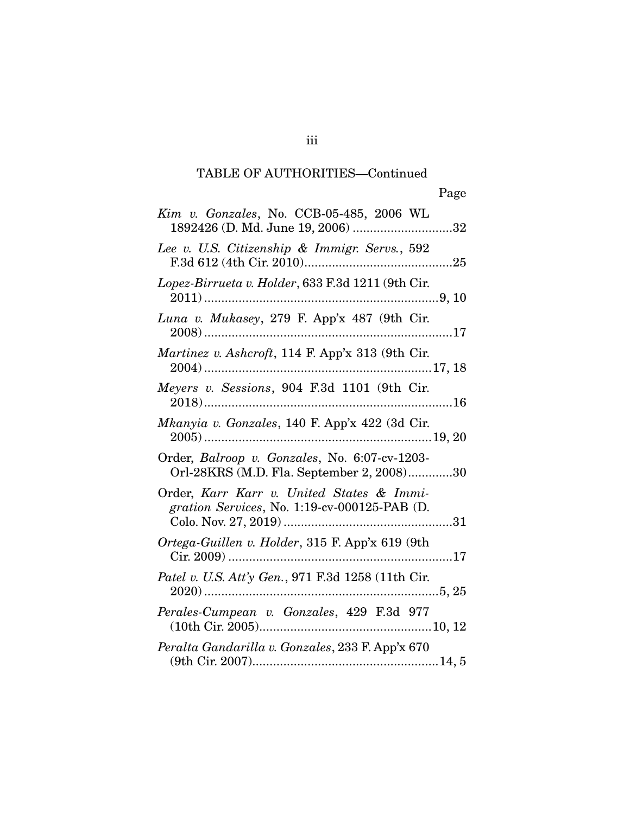| Kim v. Gonzales, No. CCB-05-485, 2006 WL<br>1892426 (D. Md. June 19, 2006) 32              |
|--------------------------------------------------------------------------------------------|
| Lee v. U.S. Citizenship & Immigr. Servs., 592                                              |
| Lopez-Birrueta v. Holder, 633 F.3d 1211 (9th Cir.                                          |
| Luna v. Mukasey, 279 F. App'x 487 (9th Cir.                                                |
| Martinez v. Ashcroft, 114 F. App'x 313 (9th Cir.                                           |
| Meyers v. Sessions, 904 F.3d 1101 (9th Cir.                                                |
| Mkanyia v. Gonzales, 140 F. App'x 422 (3d Cir.                                             |
| Order, Balroop v. Gonzales, No. 6:07-cv-1203-<br>Orl-28KRS (M.D. Fla. September 2, 2008)30 |
| Order, Karr Karr v. United States & Immi-<br>gration Services, No. 1:19-cv-000125-PAB (D.  |
| Ortega-Guillen v. Holder, 315 F. App'x 619 (9th                                            |
| 5,25                                                                                       |
| Perales-Cumpean v. Gonzales, 429 F.3d 977                                                  |
| Peralta Gandarilla v. Gonzales, 233 F. App'x 670                                           |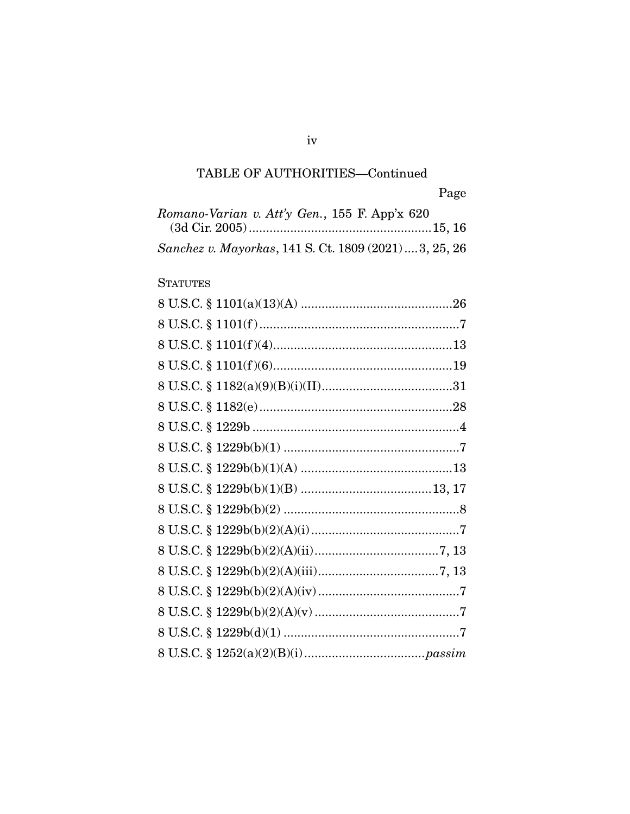| Romano-Varian v. Att'y Gen., 155 F. App'x 620          |  |
|--------------------------------------------------------|--|
|                                                        |  |
| Sanchez v. Mayorkas, 141 S. Ct. 1809 (2021)  3, 25, 26 |  |

## **STATUTES**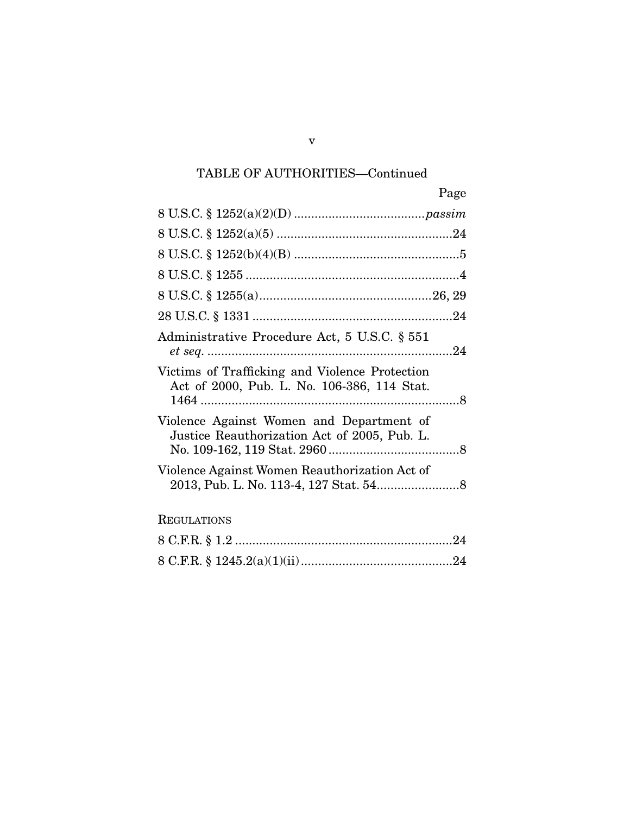| Page                                                                                          |
|-----------------------------------------------------------------------------------------------|
|                                                                                               |
|                                                                                               |
|                                                                                               |
|                                                                                               |
|                                                                                               |
|                                                                                               |
| Administrative Procedure Act, 5 U.S.C. § 551                                                  |
| Victims of Trafficking and Violence Protection<br>Act of 2000, Pub. L. No. 106-386, 114 Stat. |
| Violence Against Women and Department of<br>Justice Reauthorization Act of 2005, Pub. L.      |
| Violence Against Women Reauthorization Act of                                                 |
| <b>REGULATIONS</b>                                                                            |
|                                                                                               |
|                                                                                               |

v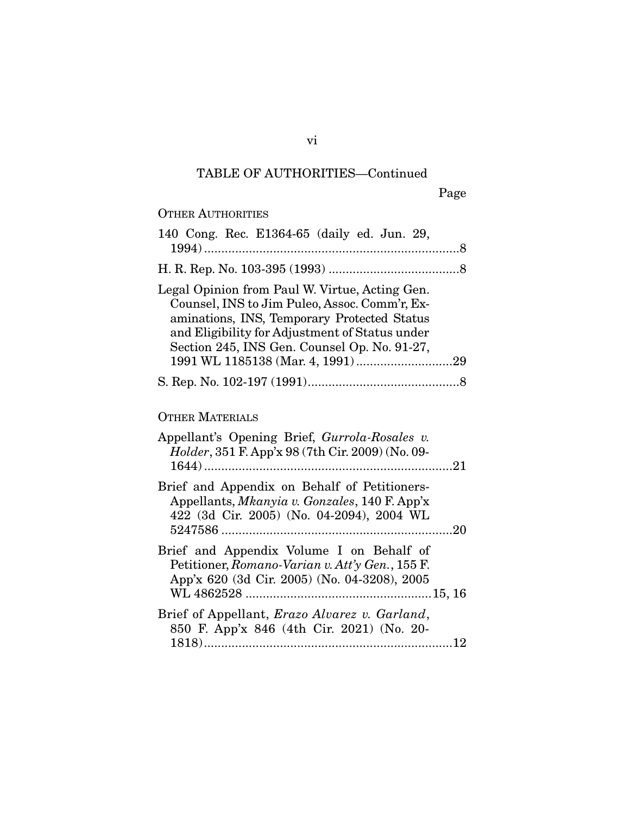## OTHER AUTHORITIES 140 Cong. Rec. E1364-65 (daily ed. Jun. 29, 1994) .......................................................................... 8 H. R. Rep. No. 103-395 (1993) ...................................... 8

| Legal Opinion from Paul W. Virtue, Acting Gen. |  |
|------------------------------------------------|--|
| Counsel, INS to Jim Puleo, Assoc. Comm'r, Ex-  |  |
| aminations, INS, Temporary Protected Status    |  |
| and Eligibility for Adjustment of Status under |  |
| Section 245, INS Gen. Counsel Op. No. 91-27,   |  |
| 1991 WL 1185138 (Mar. 4, 1991)29               |  |
|                                                |  |

## OTHER MATERIALS

| Appellant's Opening Brief, Gurrola-Rosales v.<br><i>Holder</i> , 351 F. App'x 98 (7th Cir. 2009) (No. 09-                                  |
|--------------------------------------------------------------------------------------------------------------------------------------------|
| Brief and Appendix on Behalf of Petitioners-<br>Appellants, Mkanyia v. Gonzales, 140 F. App'x<br>422 (3d Cir. 2005) (No. 04-2094), 2004 WL |
|                                                                                                                                            |
| Brief and Appendix Volume I on Behalf of                                                                                                   |
| Petitioner, Romano-Varian v. Att'y Gen., 155 F.                                                                                            |
| App'x 620 (3d Cir. 2005) (No. 04-3208), 2005                                                                                               |
|                                                                                                                                            |
| Brief of Appellant, <i>Erazo Alvarez v. Garland</i> ,                                                                                      |
| 850 F. App'x 846 (4th Cir. 2021) (No. 20-                                                                                                  |
|                                                                                                                                            |

vi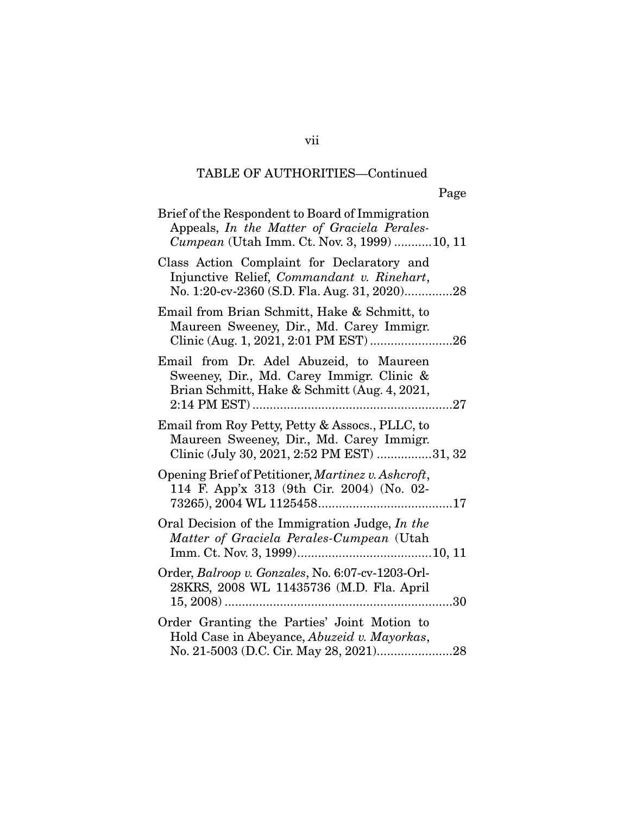| Brief of the Respondent to Board of Immigration<br>Appeals, In the Matter of Graciela Perales-<br><i>Cumpean</i> (Utah Imm. Ct. Nov. 3, 1999) 10, 11 |
|------------------------------------------------------------------------------------------------------------------------------------------------------|
| Class Action Complaint for Declaratory and<br>Injunctive Relief, Commandant v. Rinehart,<br>No. 1:20-cv-2360 (S.D. Fla. Aug. 31, 2020)28             |
| Email from Brian Schmitt, Hake & Schmitt, to<br>Maureen Sweeney, Dir., Md. Carey Immigr.<br>Clinic (Aug. 1, 2021, 2:01 PM EST)26                     |
| Email from Dr. Adel Abuzeid, to Maureen<br>Sweeney, Dir., Md. Carey Immigr. Clinic &<br>Brian Schmitt, Hake & Schmitt (Aug. 4, 2021,                 |
| Email from Roy Petty, Petty & Assocs., PLLC, to<br>Maureen Sweeney, Dir., Md. Carey Immigr.<br>Clinic (July 30, 2021, 2:52 PM EST) 31, 32            |
| Opening Brief of Petitioner, Martinez v. Ashcroft,<br>114 F. App'x 313 (9th Cir. 2004) (No. 02-                                                      |
| Oral Decision of the Immigration Judge, In the<br>Matter of Graciela Perales-Cumpean (Utah                                                           |
| Order, Balroop v. Gonzales, No. 6:07-cv-1203-Orl-<br>28KRS, 2008 WL 11435736 (M.D. Fla. April                                                        |
| Order Granting the Parties' Joint Motion to<br>Hold Case in Abeyance, Abuzeid v. Mayorkas,                                                           |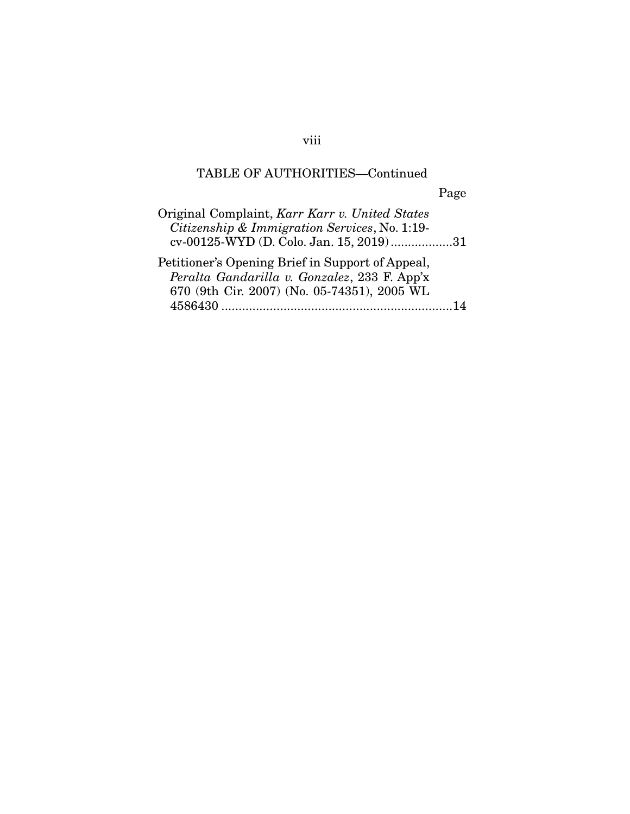# Page

| Original Complaint, Karr Karr v. United States<br>Citizenship & Immigration Services, No. 1:19-<br>cv-00125-WYD (D. Colo. Jan. 15, 2019)31            |  |
|-------------------------------------------------------------------------------------------------------------------------------------------------------|--|
| Petitioner's Opening Brief in Support of Appeal,<br>Peralta Gandarilla v. Gonzalez, 233 F. App'x<br>670 (9th Cir. 2007) (No. 05-74351), 2005 WL<br>14 |  |

## viii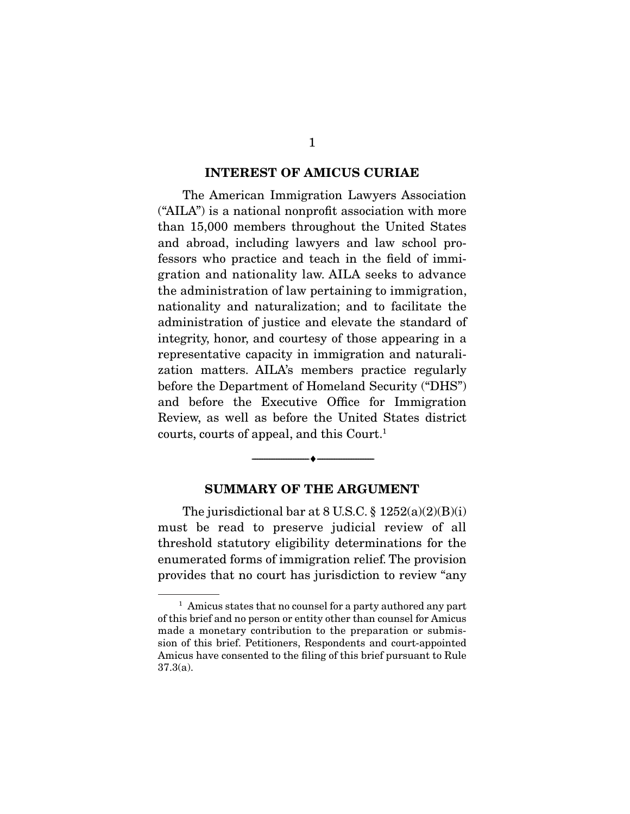#### **INTEREST OF AMICUS CURIAE**

 The American Immigration Lawyers Association ("AILA") is a national nonprofit association with more than 15,000 members throughout the United States and abroad, including lawyers and law school professors who practice and teach in the field of immigration and nationality law. AILA seeks to advance the administration of law pertaining to immigration, nationality and naturalization; and to facilitate the administration of justice and elevate the standard of integrity, honor, and courtesy of those appearing in a representative capacity in immigration and naturalization matters. AILA's members practice regularly before the Department of Homeland Security ("DHS") and before the Executive Office for Immigration Review, as well as before the United States district courts, courts of appeal, and this Court.1

### **SUMMARY OF THE ARGUMENT**

--------------------------------- ♦ ---------------------------------

The jurisdictional bar at  $8$  U.S.C.  $\frac{8}{9}$  1252(a)(2)(B)(i) must be read to preserve judicial review of all threshold statutory eligibility determinations for the enumerated forms of immigration relief. The provision provides that no court has jurisdiction to review "any

 $<sup>1</sup>$  Amicus states that no counsel for a party authored any part</sup> of this brief and no person or entity other than counsel for Amicus made a monetary contribution to the preparation or submission of this brief. Petitioners, Respondents and court-appointed Amicus have consented to the filing of this brief pursuant to Rule 37.3(a).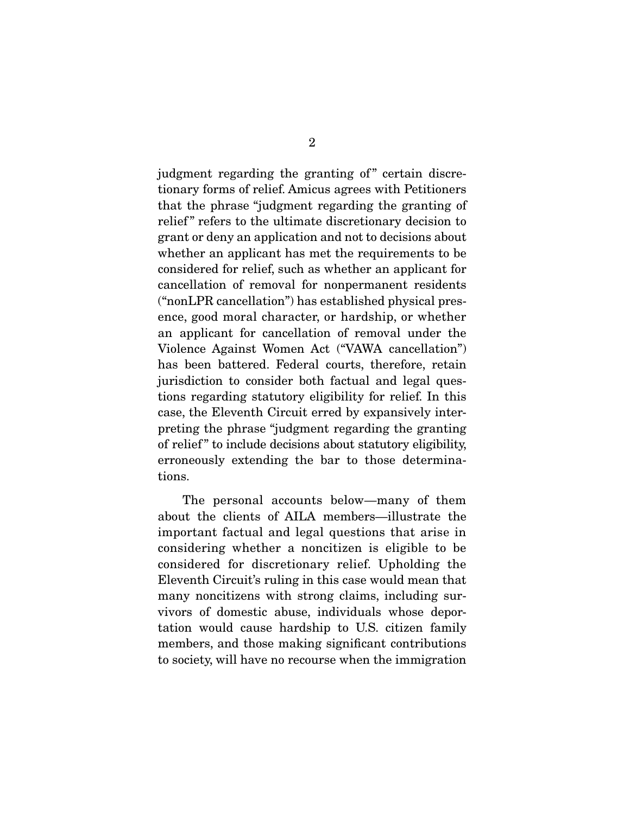judgment regarding the granting of" certain discretionary forms of relief. Amicus agrees with Petitioners that the phrase "judgment regarding the granting of relief" refers to the ultimate discretionary decision to grant or deny an application and not to decisions about whether an applicant has met the requirements to be considered for relief, such as whether an applicant for cancellation of removal for nonpermanent residents ("nonLPR cancellation") has established physical presence, good moral character, or hardship, or whether an applicant for cancellation of removal under the Violence Against Women Act ("VAWA cancellation") has been battered. Federal courts, therefore, retain jurisdiction to consider both factual and legal questions regarding statutory eligibility for relief. In this case, the Eleventh Circuit erred by expansively interpreting the phrase "judgment regarding the granting of relief " to include decisions about statutory eligibility, erroneously extending the bar to those determinations.

 The personal accounts below—many of them about the clients of AILA members—illustrate the important factual and legal questions that arise in considering whether a noncitizen is eligible to be considered for discretionary relief. Upholding the Eleventh Circuit's ruling in this case would mean that many noncitizens with strong claims, including survivors of domestic abuse, individuals whose deportation would cause hardship to U.S. citizen family members, and those making significant contributions to society, will have no recourse when the immigration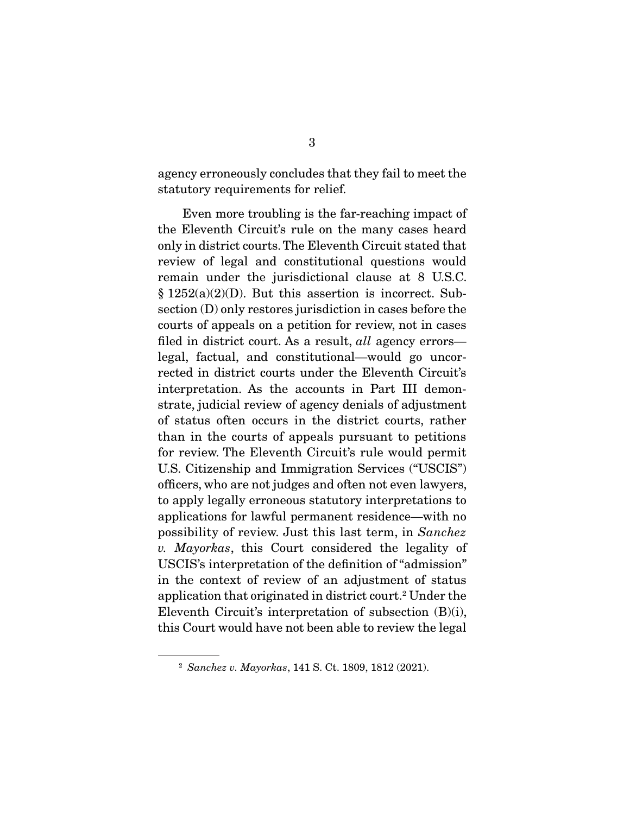agency erroneously concludes that they fail to meet the statutory requirements for relief.

 Even more troubling is the far-reaching impact of the Eleventh Circuit's rule on the many cases heard only in district courts. The Eleventh Circuit stated that review of legal and constitutional questions would remain under the jurisdictional clause at 8 U.S.C. § 1252(a)(2)(D). But this assertion is incorrect. Subsection (D) only restores jurisdiction in cases before the courts of appeals on a petition for review, not in cases filed in district court. As a result, *all* agency errors legal, factual, and constitutional—would go uncorrected in district courts under the Eleventh Circuit's interpretation. As the accounts in Part III demonstrate, judicial review of agency denials of adjustment of status often occurs in the district courts, rather than in the courts of appeals pursuant to petitions for review. The Eleventh Circuit's rule would permit U.S. Citizenship and Immigration Services ("USCIS") officers, who are not judges and often not even lawyers, to apply legally erroneous statutory interpretations to applications for lawful permanent residence—with no possibility of review. Just this last term, in *Sanchez v. Mayorkas*, this Court considered the legality of USCIS's interpretation of the definition of "admission" in the context of review of an adjustment of status application that originated in district court.<sup>2</sup> Under the Eleventh Circuit's interpretation of subsection (B)(i), this Court would have not been able to review the legal

<sup>2</sup> *Sanchez v. Mayorkas*, 141 S. Ct. 1809, 1812 (2021).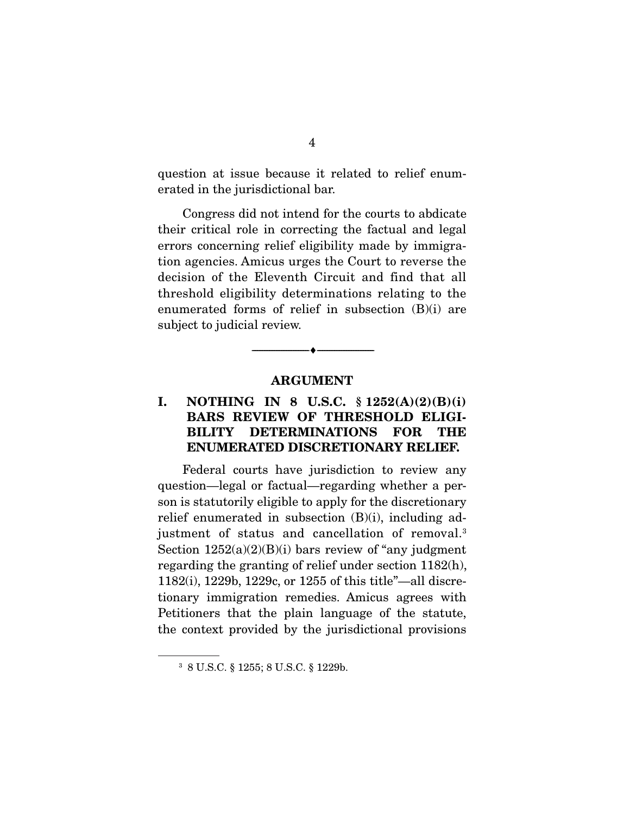question at issue because it related to relief enumerated in the jurisdictional bar.

 Congress did not intend for the courts to abdicate their critical role in correcting the factual and legal errors concerning relief eligibility made by immigration agencies. Amicus urges the Court to reverse the decision of the Eleventh Circuit and find that all threshold eligibility determinations relating to the enumerated forms of relief in subsection (B)(i) are subject to judicial review.

### **ARGUMENT**

 $\overbrace{\hspace{2.5cm}}^{\bullet}$   $\overbrace{\hspace{2.5cm}}^{\bullet}$ 

### **I. NOTHING IN 8 U.S.C. § 1252(A)(2)(B)(i) BARS REVIEW OF THRESHOLD ELIGI-BILITY DETERMINATIONS FOR THE ENUMERATED DISCRETIONARY RELIEF.**

 Federal courts have jurisdiction to review any question—legal or factual—regarding whether a person is statutorily eligible to apply for the discretionary relief enumerated in subsection  $(B)(i)$ , including adjustment of status and cancellation of removal.3 Section  $1252(a)(2)(B)(i)$  bars review of "any judgment" regarding the granting of relief under section 1182(h), 1182(i), 1229b, 1229c, or 1255 of this title"—all discretionary immigration remedies. Amicus agrees with Petitioners that the plain language of the statute, the context provided by the jurisdictional provisions

<sup>3</sup> 8 U.S.C. § 1255; 8 U.S.C. § 1229b.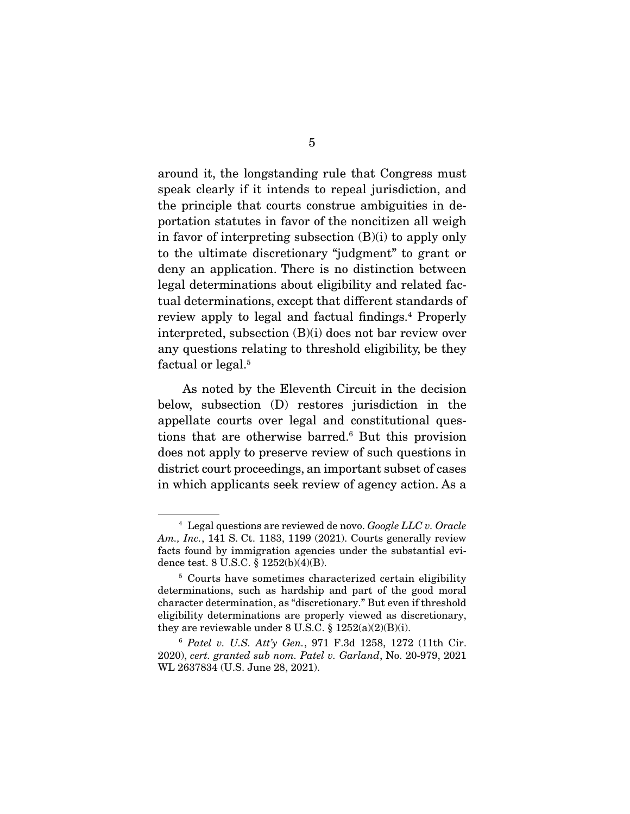around it, the longstanding rule that Congress must speak clearly if it intends to repeal jurisdiction, and the principle that courts construe ambiguities in deportation statutes in favor of the noncitizen all weigh in favor of interpreting subsection (B)(i) to apply only to the ultimate discretionary "judgment" to grant or deny an application. There is no distinction between legal determinations about eligibility and related factual determinations, except that different standards of review apply to legal and factual findings.<sup>4</sup> Properly interpreted, subsection (B)(i) does not bar review over any questions relating to threshold eligibility, be they factual or legal.<sup>5</sup>

 As noted by the Eleventh Circuit in the decision below, subsection (D) restores jurisdiction in the appellate courts over legal and constitutional questions that are otherwise barred.<sup>6</sup> But this provision does not apply to preserve review of such questions in district court proceedings, an important subset of cases in which applicants seek review of agency action. As a

<sup>4</sup> Legal questions are reviewed de novo. *Google LLC v. Oracle Am., Inc.*, 141 S. Ct. 1183, 1199 (2021). Courts generally review facts found by immigration agencies under the substantial evidence test. 8 U.S.C. § 1252(b)(4)(B).

<sup>&</sup>lt;sup>5</sup> Courts have sometimes characterized certain eligibility determinations, such as hardship and part of the good moral character determination, as "discretionary." But even if threshold eligibility determinations are properly viewed as discretionary, they are reviewable under 8 U.S.C. § 1252(a)(2)(B)(i).

<sup>6</sup> *Patel v. U.S. Att'y Gen.*, 971 F.3d 1258, 1272 (11th Cir. 2020), *cert. granted sub nom. Patel v. Garland*, No. 20-979, 2021 WL 2637834 (U.S. June 28, 2021).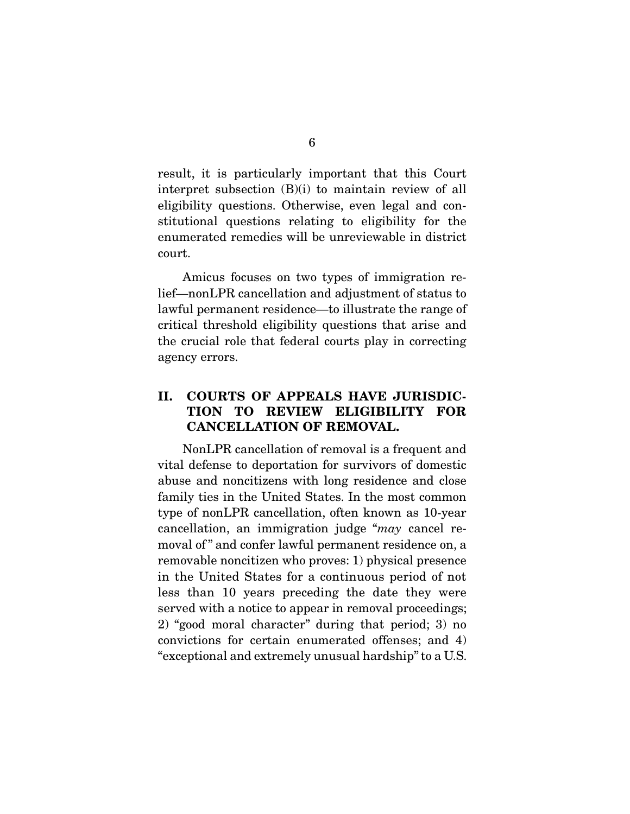result, it is particularly important that this Court interpret subsection (B)(i) to maintain review of all eligibility questions. Otherwise, even legal and constitutional questions relating to eligibility for the enumerated remedies will be unreviewable in district court.

 Amicus focuses on two types of immigration relief—nonLPR cancellation and adjustment of status to lawful permanent residence—to illustrate the range of critical threshold eligibility questions that arise and the crucial role that federal courts play in correcting agency errors.

## **II. COURTS OF APPEALS HAVE JURISDIC-TION TO REVIEW ELIGIBILITY FOR CANCELLATION OF REMOVAL.**

 NonLPR cancellation of removal is a frequent and vital defense to deportation for survivors of domestic abuse and noncitizens with long residence and close family ties in the United States. In the most common type of nonLPR cancellation, often known as 10-year cancellation, an immigration judge "*may* cancel removal of" and confer lawful permanent residence on, a removable noncitizen who proves: 1) physical presence in the United States for a continuous period of not less than 10 years preceding the date they were served with a notice to appear in removal proceedings; 2) "good moral character" during that period; 3) no convictions for certain enumerated offenses; and 4) "exceptional and extremely unusual hardship" to a U.S.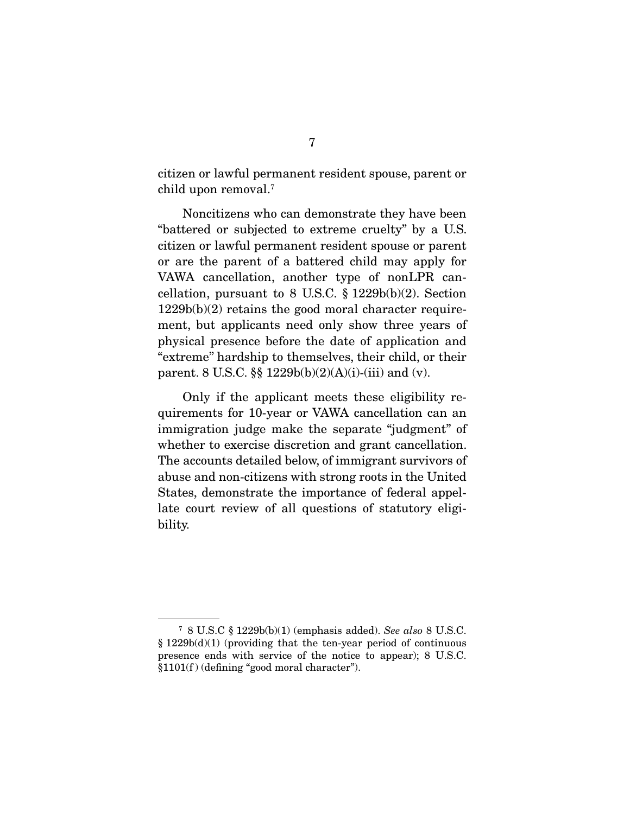citizen or lawful permanent resident spouse, parent or child upon removal.7

 Noncitizens who can demonstrate they have been "battered or subjected to extreme cruelty" by a U.S. citizen or lawful permanent resident spouse or parent or are the parent of a battered child may apply for VAWA cancellation, another type of nonLPR cancellation, pursuant to 8 U.S.C.  $\S 1229b(b)(2)$ . Section 1229b(b)(2) retains the good moral character requirement, but applicants need only show three years of physical presence before the date of application and "extreme" hardship to themselves, their child, or their parent. 8 U.S.C. §§ 1229b(b)(2)(A)(i)-(iii) and (v).

 Only if the applicant meets these eligibility requirements for 10-year or VAWA cancellation can an immigration judge make the separate "judgment" of whether to exercise discretion and grant cancellation. The accounts detailed below, of immigrant survivors of abuse and non-citizens with strong roots in the United States, demonstrate the importance of federal appellate court review of all questions of statutory eligibility.

<sup>7</sup> 8 U.S.C § 1229b(b)(1) (emphasis added). *See also* 8 U.S.C. § 1229b(d)(1) (providing that the ten-year period of continuous presence ends with service of the notice to appear); 8 U.S.C. §1101(f ) (defining "good moral character").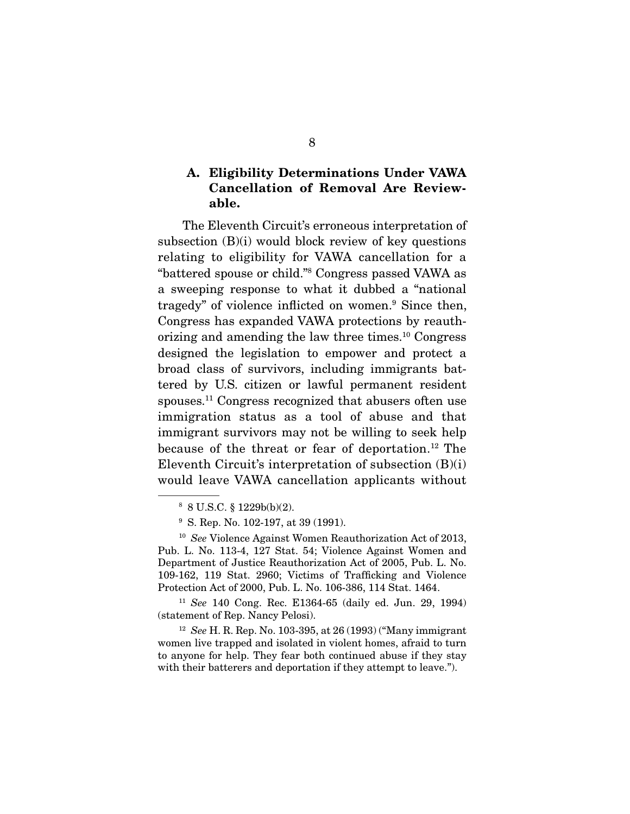## **A. Eligibility Determinations Under VAWA Cancellation of Removal Are Reviewable.**

 The Eleventh Circuit's erroneous interpretation of subsection  $(B)(i)$  would block review of key questions relating to eligibility for VAWA cancellation for a "battered spouse or child."8 Congress passed VAWA as a sweeping response to what it dubbed a "national tragedy" of violence inflicted on women.<sup>9</sup> Since then. Congress has expanded VAWA protections by reauthorizing and amending the law three times.10 Congress designed the legislation to empower and protect a broad class of survivors, including immigrants battered by U.S. citizen or lawful permanent resident spouses.11 Congress recognized that abusers often use immigration status as a tool of abuse and that immigrant survivors may not be willing to seek help because of the threat or fear of deportation.12 The Eleventh Circuit's interpretation of subsection (B)(i) would leave VAWA cancellation applicants without

<sup>11</sup> *See* 140 Cong. Rec. E1364-65 (daily ed. Jun. 29, 1994) (statement of Rep. Nancy Pelosi).

<sup>12</sup> *See* H. R. Rep. No. 103-395, at 26 (1993) ("Many immigrant women live trapped and isolated in violent homes, afraid to turn to anyone for help. They fear both continued abuse if they stay with their batterers and deportation if they attempt to leave.").

<sup>8</sup> 8 U.S.C. § 1229b(b)(2).

<sup>&</sup>lt;sup>9</sup> S. Rep. No. 102-197, at 39 (1991).

<sup>10</sup> *See* Violence Against Women Reauthorization Act of 2013, Pub. L. No. 113-4, 127 Stat. 54; Violence Against Women and Department of Justice Reauthorization Act of 2005, Pub. L. No. 109-162, 119 Stat. 2960; Victims of Trafficking and Violence Protection Act of 2000, Pub. L. No. 106-386, 114 Stat. 1464.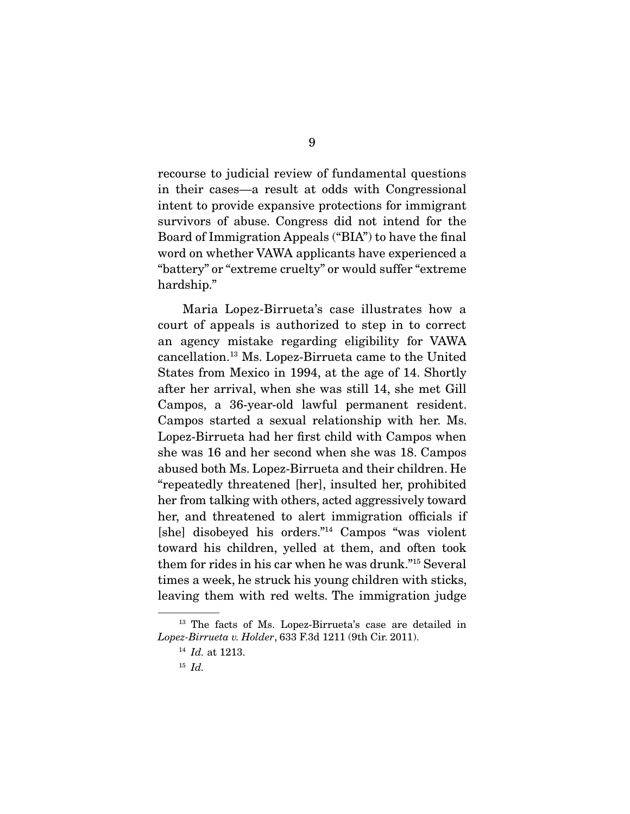recourse to judicial review of fundamental questions in their cases—a result at odds with Congressional intent to provide expansive protections for immigrant survivors of abuse. Congress did not intend for the Board of Immigration Appeals ("BIA") to have the final word on whether VAWA applicants have experienced a "battery" or "extreme cruelty" or would suffer "extreme hardship."

 Maria Lopez-Birrueta's case illustrates how a court of appeals is authorized to step in to correct an agency mistake regarding eligibility for VAWA cancellation.13 Ms. Lopez-Birrueta came to the United States from Mexico in 1994, at the age of 14. Shortly after her arrival, when she was still 14, she met Gill Campos, a 36-year-old lawful permanent resident. Campos started a sexual relationship with her. Ms. Lopez-Birrueta had her first child with Campos when she was 16 and her second when she was 18. Campos abused both Ms. Lopez-Birrueta and their children. He "repeatedly threatened [her], insulted her, prohibited her from talking with others, acted aggressively toward her, and threatened to alert immigration officials if [she] disobeyed his orders."14 Campos "was violent toward his children, yelled at them, and often took them for rides in his car when he was drunk."15 Several times a week, he struck his young children with sticks, leaving them with red welts. The immigration judge

<sup>&</sup>lt;sup>13</sup> The facts of Ms. Lopez-Birrueta's case are detailed in *Lopez-Birrueta v. Holder*, 633 F.3d 1211 (9th Cir. 2011).

<sup>14</sup> *Id.* at 1213.

<sup>15</sup> *Id.*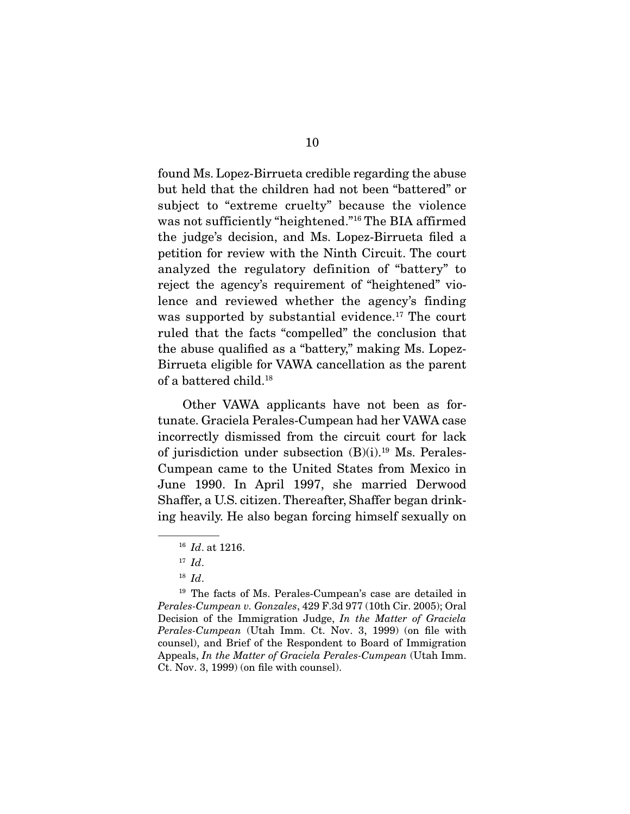found Ms. Lopez-Birrueta credible regarding the abuse but held that the children had not been "battered" or subject to "extreme cruelty" because the violence was not sufficiently "heightened."16 The BIA affirmed the judge's decision, and Ms. Lopez-Birrueta filed a petition for review with the Ninth Circuit. The court analyzed the regulatory definition of "battery" to reject the agency's requirement of "heightened" violence and reviewed whether the agency's finding was supported by substantial evidence.<sup>17</sup> The court ruled that the facts "compelled" the conclusion that the abuse qualified as a "battery," making Ms. Lopez-Birrueta eligible for VAWA cancellation as the parent of a battered child.18

 Other VAWA applicants have not been as fortunate. Graciela Perales-Cumpean had her VAWA case incorrectly dismissed from the circuit court for lack of jurisdiction under subsection  $(B)(i).^{19}$  Ms. Perales-Cumpean came to the United States from Mexico in June 1990. In April 1997, she married Derwood Shaffer, a U.S. citizen. Thereafter, Shaffer began drinking heavily. He also began forcing himself sexually on

<sup>16</sup> *Id*. at 1216.

<sup>17</sup> *Id*.

<sup>18</sup> *Id*.

<sup>&</sup>lt;sup>19</sup> The facts of Ms. Perales-Cumpean's case are detailed in *Perales-Cumpean v. Gonzales*, 429 F.3d 977 (10th Cir. 2005); Oral Decision of the Immigration Judge, *In the Matter of Graciela Perales-Cumpean* (Utah Imm. Ct. Nov. 3, 1999) (on file with counsel), and Brief of the Respondent to Board of Immigration Appeals, *In the Matter of Graciela Perales-Cumpean* (Utah Imm. Ct. Nov. 3, 1999) (on file with counsel).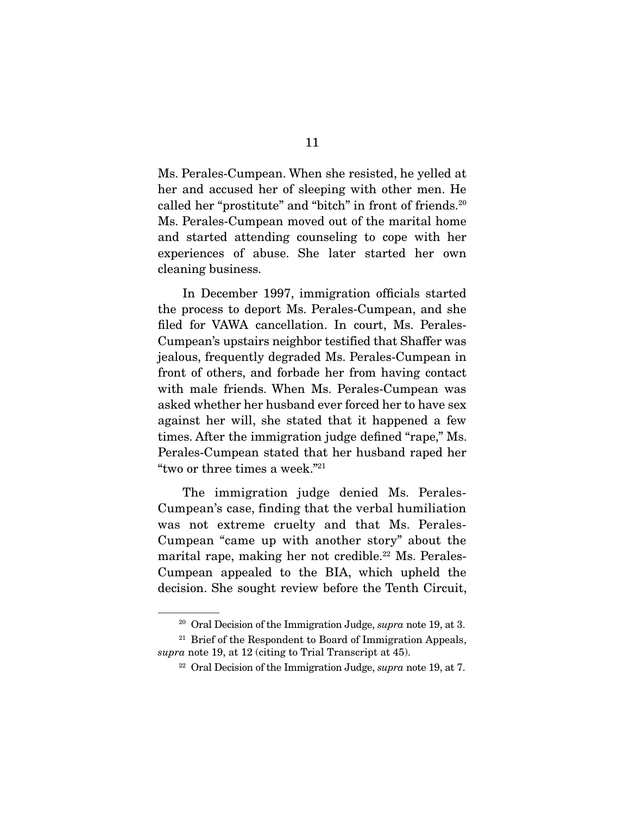Ms. Perales-Cumpean. When she resisted, he yelled at her and accused her of sleeping with other men. He called her "prostitute" and "bitch" in front of friends.<sup>20</sup> Ms. Perales-Cumpean moved out of the marital home and started attending counseling to cope with her experiences of abuse. She later started her own cleaning business.

 In December 1997, immigration officials started the process to deport Ms. Perales-Cumpean, and she filed for VAWA cancellation. In court, Ms. Perales-Cumpean's upstairs neighbor testified that Shaffer was jealous, frequently degraded Ms. Perales-Cumpean in front of others, and forbade her from having contact with male friends. When Ms. Perales-Cumpean was asked whether her husband ever forced her to have sex against her will, she stated that it happened a few times. After the immigration judge defined "rape," Ms. Perales-Cumpean stated that her husband raped her "two or three times a week."21

 The immigration judge denied Ms. Perales-Cumpean's case, finding that the verbal humiliation was not extreme cruelty and that Ms. Perales-Cumpean "came up with another story" about the marital rape, making her not credible.<sup>22</sup> Ms. Perales-Cumpean appealed to the BIA, which upheld the decision. She sought review before the Tenth Circuit,

<sup>20</sup> Oral Decision of the Immigration Judge, *supra* note 19, at 3.

 $21$  Brief of the Respondent to Board of Immigration Appeals, *supra* note 19, at 12 (citing to Trial Transcript at 45).

<sup>22</sup> Oral Decision of the Immigration Judge, *supra* note 19, at 7.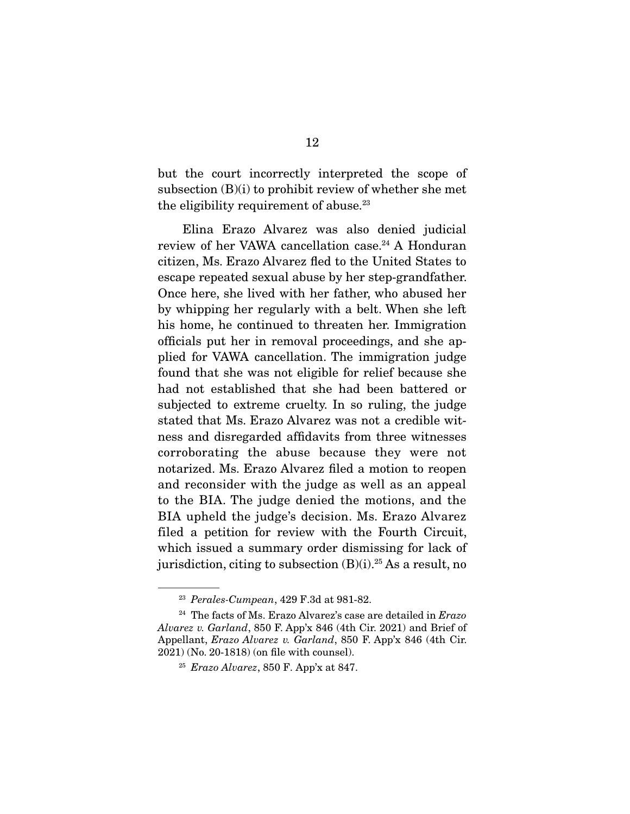but the court incorrectly interpreted the scope of subsection (B)(i) to prohibit review of whether she met the eligibility requirement of abuse. $23$ 

 Elina Erazo Alvarez was also denied judicial review of her VAWA cancellation case.<sup>24</sup> A Honduran citizen, Ms. Erazo Alvarez fled to the United States to escape repeated sexual abuse by her step-grandfather. Once here, she lived with her father, who abused her by whipping her regularly with a belt. When she left his home, he continued to threaten her. Immigration officials put her in removal proceedings, and she applied for VAWA cancellation. The immigration judge found that she was not eligible for relief because she had not established that she had been battered or subjected to extreme cruelty. In so ruling, the judge stated that Ms. Erazo Alvarez was not a credible witness and disregarded affidavits from three witnesses corroborating the abuse because they were not notarized. Ms. Erazo Alvarez filed a motion to reopen and reconsider with the judge as well as an appeal to the BIA. The judge denied the motions, and the BIA upheld the judge's decision. Ms. Erazo Alvarez filed a petition for review with the Fourth Circuit, which issued a summary order dismissing for lack of jurisdiction, citing to subsection  $(B)(i)$ .<sup>25</sup> As a result, no

<sup>23</sup> *Perales-Cumpean*, 429 F.3d at 981-82.

<sup>24</sup> The facts of Ms. Erazo Alvarez's case are detailed in *Erazo Alvarez v. Garland*, 850 F. App'x 846 (4th Cir. 2021) and Brief of Appellant, *Erazo Alvarez v. Garland*, 850 F. App'x 846 (4th Cir. 2021) (No. 20-1818) (on file with counsel).

<sup>25</sup> *Erazo Alvarez*, 850 F. App'x at 847.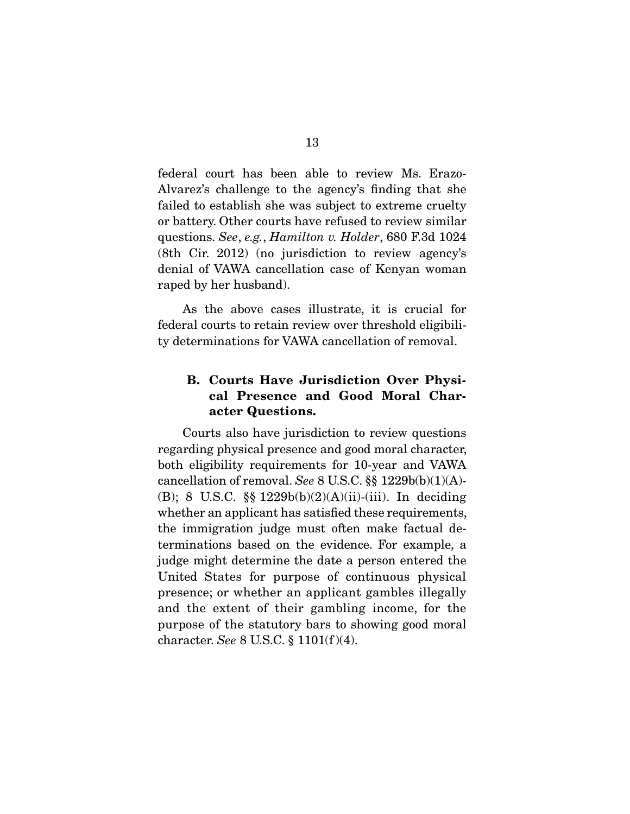federal court has been able to review Ms. Erazo-Alvarez's challenge to the agency's finding that she failed to establish she was subject to extreme cruelty or battery. Other courts have refused to review similar questions. *See*, *e.g.*, *Hamilton v. Holder*, 680 F.3d 1024 (8th Cir. 2012) (no jurisdiction to review agency's denial of VAWA cancellation case of Kenyan woman raped by her husband).

 As the above cases illustrate, it is crucial for federal courts to retain review over threshold eligibility determinations for VAWA cancellation of removal.

## **B. Courts Have Jurisdiction Over Physical Presence and Good Moral Character Questions.**

 Courts also have jurisdiction to review questions regarding physical presence and good moral character, both eligibility requirements for 10-year and VAWA cancellation of removal. *See* 8 U.S.C. §§ 1229b(b)(1)(A)- (B); 8 U.S.C. §§ 1229b(b)(2)(A)(ii)-(iii). In deciding whether an applicant has satisfied these requirements, the immigration judge must often make factual determinations based on the evidence. For example, a judge might determine the date a person entered the United States for purpose of continuous physical presence; or whether an applicant gambles illegally and the extent of their gambling income, for the purpose of the statutory bars to showing good moral character. *See* 8 U.S.C. § 1101(f )(4).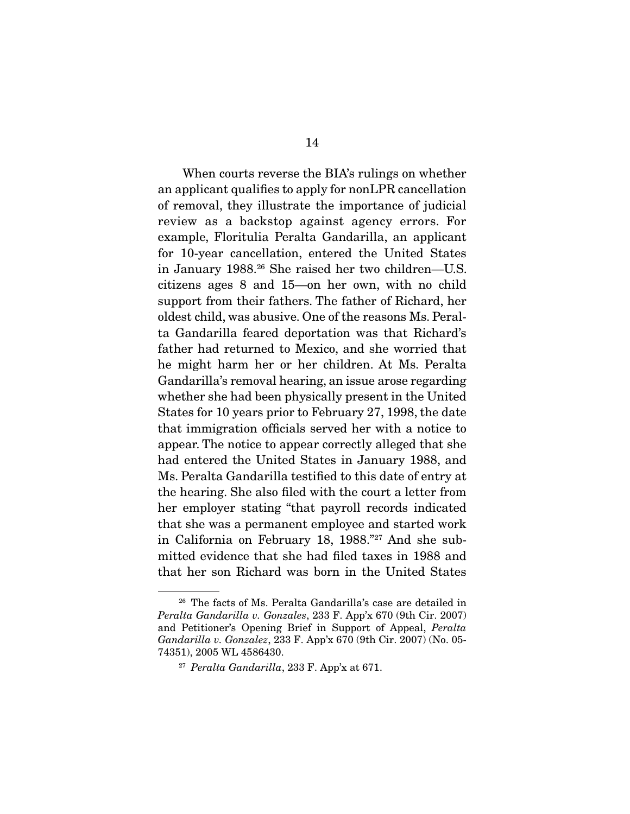When courts reverse the BIA's rulings on whether an applicant qualifies to apply for nonLPR cancellation of removal, they illustrate the importance of judicial review as a backstop against agency errors. For example, Floritulia Peralta Gandarilla, an applicant for 10-year cancellation, entered the United States in January 1988.26 She raised her two children—U.S. citizens ages 8 and 15—on her own, with no child support from their fathers. The father of Richard, her oldest child, was abusive. One of the reasons Ms. Peralta Gandarilla feared deportation was that Richard's father had returned to Mexico, and she worried that he might harm her or her children. At Ms. Peralta Gandarilla's removal hearing, an issue arose regarding whether she had been physically present in the United States for 10 years prior to February 27, 1998, the date that immigration officials served her with a notice to appear. The notice to appear correctly alleged that she had entered the United States in January 1988, and Ms. Peralta Gandarilla testified to this date of entry at the hearing. She also filed with the court a letter from her employer stating "that payroll records indicated that she was a permanent employee and started work in California on February 18, 1988."27 And she submitted evidence that she had filed taxes in 1988 and that her son Richard was born in the United States

<sup>26</sup> The facts of Ms. Peralta Gandarilla's case are detailed in *Peralta Gandarilla v. Gonzales*, 233 F. App'x 670 (9th Cir. 2007) and Petitioner's Opening Brief in Support of Appeal, *Peralta Gandarilla v. Gonzalez*, 233 F. App'x 670 (9th Cir. 2007) (No. 05- 74351), 2005 WL 4586430.

<sup>27</sup> *Peralta Gandarilla*, 233 F. App'x at 671.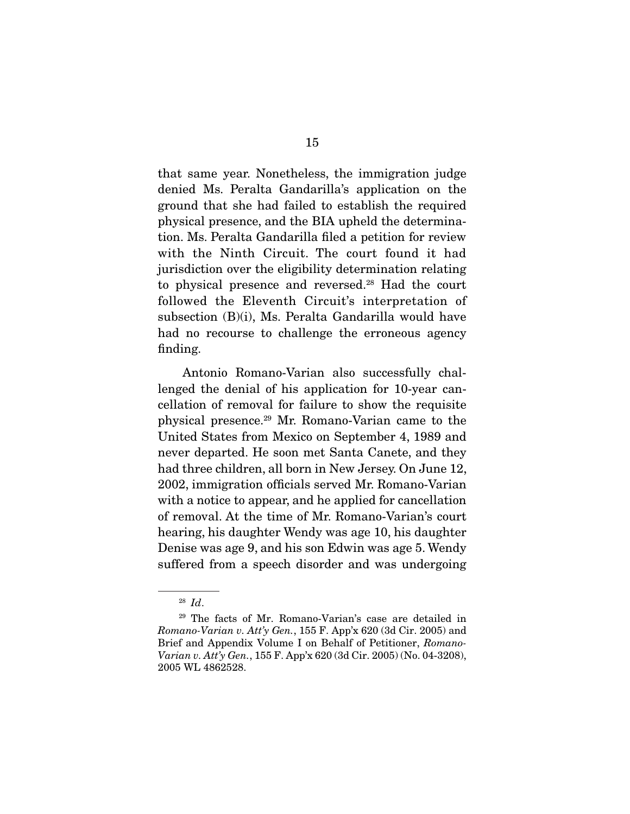that same year. Nonetheless, the immigration judge denied Ms. Peralta Gandarilla's application on the ground that she had failed to establish the required physical presence, and the BIA upheld the determination. Ms. Peralta Gandarilla filed a petition for review with the Ninth Circuit. The court found it had jurisdiction over the eligibility determination relating to physical presence and reversed.28 Had the court followed the Eleventh Circuit's interpretation of subsection (B)(i), Ms. Peralta Gandarilla would have had no recourse to challenge the erroneous agency finding.

 Antonio Romano-Varian also successfully challenged the denial of his application for 10-year cancellation of removal for failure to show the requisite physical presence.29 Mr. Romano-Varian came to the United States from Mexico on September 4, 1989 and never departed. He soon met Santa Canete, and they had three children, all born in New Jersey. On June 12, 2002, immigration officials served Mr. Romano-Varian with a notice to appear, and he applied for cancellation of removal. At the time of Mr. Romano-Varian's court hearing, his daughter Wendy was age 10, his daughter Denise was age 9, and his son Edwin was age 5. Wendy suffered from a speech disorder and was undergoing

<sup>28</sup> *Id*.

<sup>29</sup> The facts of Mr. Romano-Varian's case are detailed in *Romano-Varian v. Att'y Gen.*, 155 F. App'x 620 (3d Cir. 2005) and Brief and Appendix Volume I on Behalf of Petitioner, *Romano-Varian v. Att'y Gen.*, 155 F. App'x 620 (3d Cir. 2005) (No. 04-3208), 2005 WL 4862528.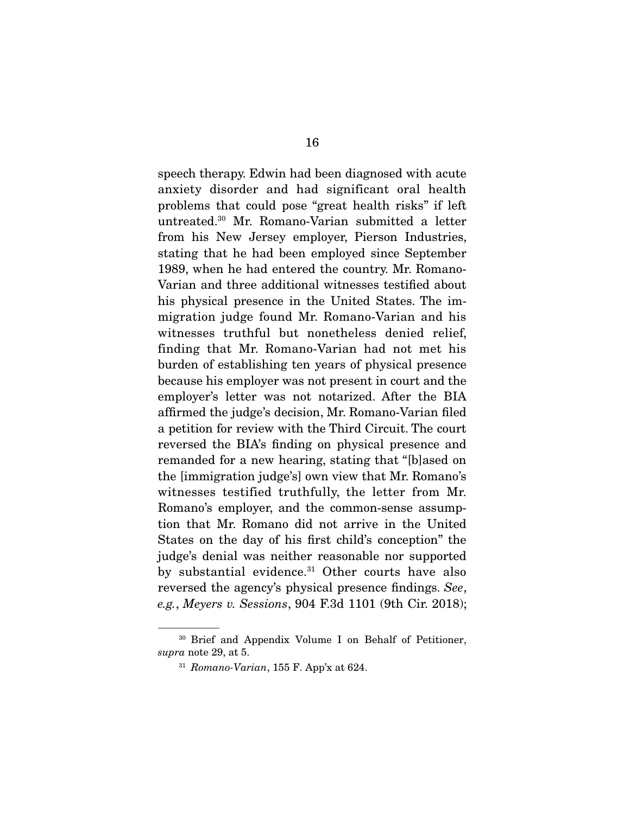speech therapy. Edwin had been diagnosed with acute anxiety disorder and had significant oral health problems that could pose "great health risks" if left untreated.30 Mr. Romano-Varian submitted a letter from his New Jersey employer, Pierson Industries, stating that he had been employed since September 1989, when he had entered the country. Mr. Romano-Varian and three additional witnesses testified about his physical presence in the United States. The immigration judge found Mr. Romano-Varian and his witnesses truthful but nonetheless denied relief, finding that Mr. Romano-Varian had not met his burden of establishing ten years of physical presence because his employer was not present in court and the employer's letter was not notarized. After the BIA affirmed the judge's decision, Mr. Romano-Varian filed a petition for review with the Third Circuit. The court reversed the BIA's finding on physical presence and remanded for a new hearing, stating that "[b]ased on the [immigration judge's] own view that Mr. Romano's witnesses testified truthfully, the letter from Mr. Romano's employer, and the common-sense assumption that Mr. Romano did not arrive in the United States on the day of his first child's conception" the judge's denial was neither reasonable nor supported by substantial evidence.<sup>31</sup> Other courts have also reversed the agency's physical presence findings. *See*, *e.g.*, *Meyers v. Sessions*, 904 F.3d 1101 (9th Cir. 2018);

<sup>30</sup> Brief and Appendix Volume I on Behalf of Petitioner, *supra* note 29, at 5.

<sup>31</sup> *Romano-Varian*, 155 F. App'x at 624.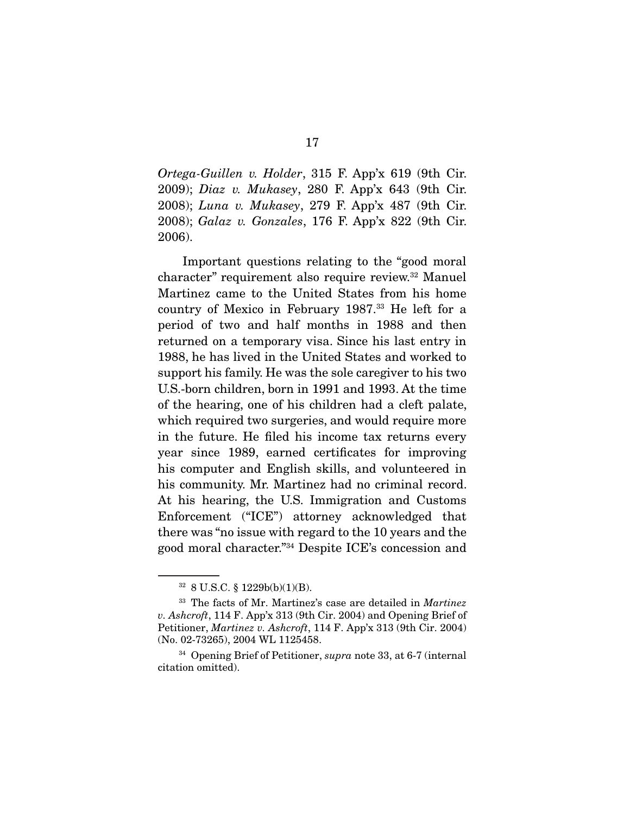*Ortega-Guillen v. Holder*, 315 F. App'x 619 (9th Cir. 2009); *Diaz v. Mukasey*, 280 F. App'x 643 (9th Cir. 2008); *Luna v. Mukasey*, 279 F. App'x 487 (9th Cir. 2008); *Galaz v. Gonzales*, 176 F. App'x 822 (9th Cir. 2006).

 Important questions relating to the "good moral character" requirement also require review.32 Manuel Martinez came to the United States from his home country of Mexico in February 1987.33 He left for a period of two and half months in 1988 and then returned on a temporary visa. Since his last entry in 1988, he has lived in the United States and worked to support his family. He was the sole caregiver to his two U.S.-born children, born in 1991 and 1993. At the time of the hearing, one of his children had a cleft palate, which required two surgeries, and would require more in the future. He filed his income tax returns every year since 1989, earned certificates for improving his computer and English skills, and volunteered in his community. Mr. Martinez had no criminal record. At his hearing, the U.S. Immigration and Customs Enforcement ("ICE") attorney acknowledged that there was "no issue with regard to the 10 years and the good moral character."34 Despite ICE's concession and

<sup>32</sup> 8 U.S.C. § 1229b(b)(1)(B).

<sup>33</sup> The facts of Mr. Martinez's case are detailed in *Martinez v. Ashcroft*, 114 F. App'x 313 (9th Cir. 2004) and Opening Brief of Petitioner, *Martinez v. Ashcroft*, 114 F. App'x 313 (9th Cir. 2004) (No. 02-73265), 2004 WL 1125458.

<sup>34</sup> Opening Brief of Petitioner, *supra* note 33, at 6-7 (internal citation omitted).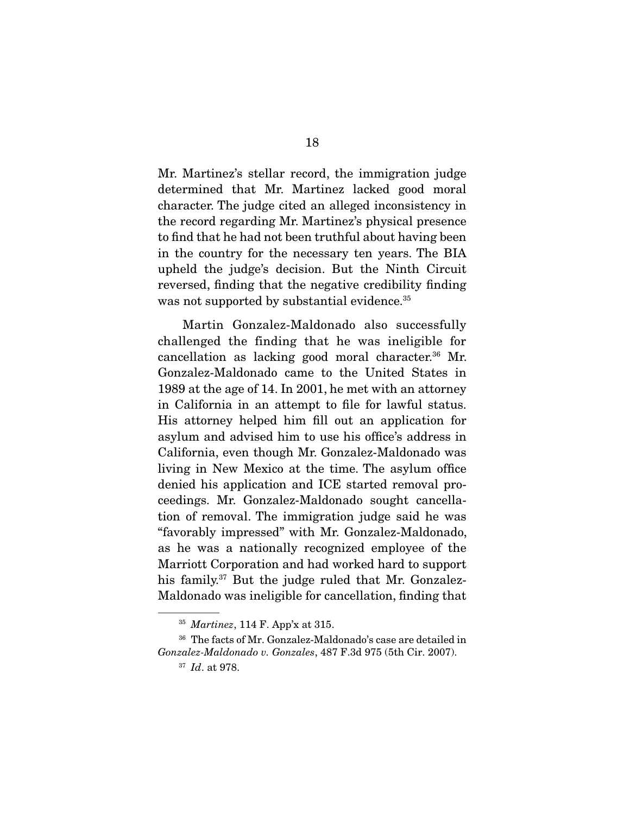Mr. Martinez's stellar record, the immigration judge determined that Mr. Martinez lacked good moral character. The judge cited an alleged inconsistency in the record regarding Mr. Martinez's physical presence to find that he had not been truthful about having been in the country for the necessary ten years. The BIA upheld the judge's decision. But the Ninth Circuit reversed, finding that the negative credibility finding was not supported by substantial evidence.<sup>35</sup>

 Martin Gonzalez-Maldonado also successfully challenged the finding that he was ineligible for cancellation as lacking good moral character.36 Mr. Gonzalez-Maldonado came to the United States in 1989 at the age of 14. In 2001, he met with an attorney in California in an attempt to file for lawful status. His attorney helped him fill out an application for asylum and advised him to use his office's address in California, even though Mr. Gonzalez-Maldonado was living in New Mexico at the time. The asylum office denied his application and ICE started removal proceedings. Mr. Gonzalez-Maldonado sought cancellation of removal. The immigration judge said he was "favorably impressed" with Mr. Gonzalez-Maldonado, as he was a nationally recognized employee of the Marriott Corporation and had worked hard to support his family.<sup>37</sup> But the judge ruled that Mr. Gonzalez-Maldonado was ineligible for cancellation, finding that

<sup>35</sup> *Martinez*, 114 F. App'x at 315.

<sup>36</sup> The facts of Mr. Gonzalez-Maldonado's case are detailed in *Gonzalez-Maldonado v. Gonzales*, 487 F.3d 975 (5th Cir. 2007).

<sup>37</sup> *Id*. at 978.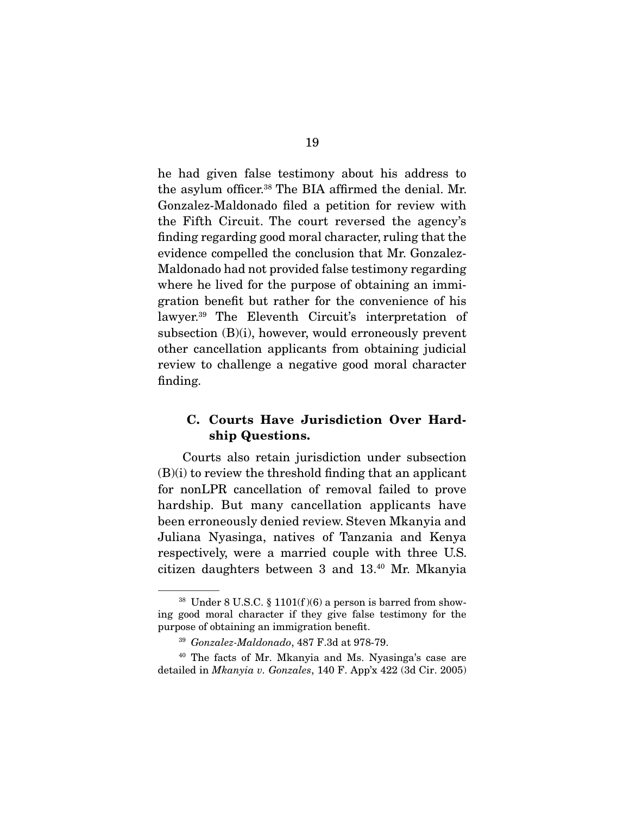he had given false testimony about his address to the asylum officer.<sup>38</sup> The BIA affirmed the denial. Mr. Gonzalez-Maldonado filed a petition for review with the Fifth Circuit. The court reversed the agency's finding regarding good moral character, ruling that the evidence compelled the conclusion that Mr. Gonzalez-Maldonado had not provided false testimony regarding where he lived for the purpose of obtaining an immigration benefit but rather for the convenience of his lawyer.<sup>39</sup> The Eleventh Circuit's interpretation of subsection (B)(i), however, would erroneously prevent other cancellation applicants from obtaining judicial review to challenge a negative good moral character finding.

### **C. Courts Have Jurisdiction Over Hardship Questions.**

 Courts also retain jurisdiction under subsection  $(B)(i)$  to review the threshold finding that an applicant for nonLPR cancellation of removal failed to prove hardship. But many cancellation applicants have been erroneously denied review. Steven Mkanyia and Juliana Nyasinga, natives of Tanzania and Kenya respectively, were a married couple with three U.S. citizen daughters between 3 and 13.40 Mr. Mkanyia

 $38$  Under 8 U.S.C. § 1101(f)(6) a person is barred from showing good moral character if they give false testimony for the purpose of obtaining an immigration benefit.

<sup>39</sup> *Gonzalez-Maldonado*, 487 F.3d at 978-79.

<sup>40</sup> The facts of Mr. Mkanyia and Ms. Nyasinga's case are detailed in *Mkanyia v. Gonzales*, 140 F. App'x 422 (3d Cir. 2005)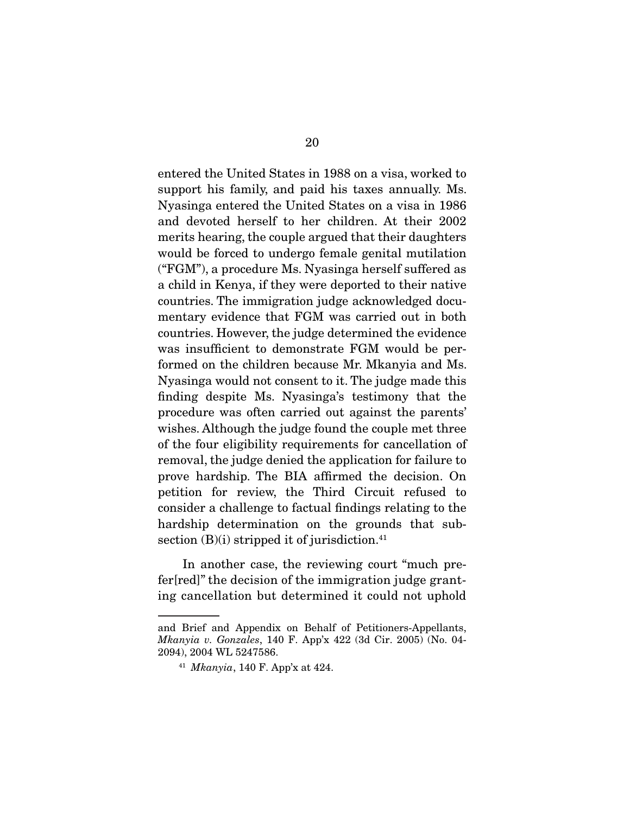entered the United States in 1988 on a visa, worked to support his family, and paid his taxes annually. Ms. Nyasinga entered the United States on a visa in 1986 and devoted herself to her children. At their 2002 merits hearing, the couple argued that their daughters would be forced to undergo female genital mutilation ("FGM"), a procedure Ms. Nyasinga herself suffered as a child in Kenya, if they were deported to their native countries. The immigration judge acknowledged documentary evidence that FGM was carried out in both countries. However, the judge determined the evidence was insufficient to demonstrate FGM would be performed on the children because Mr. Mkanyia and Ms. Nyasinga would not consent to it. The judge made this finding despite Ms. Nyasinga's testimony that the procedure was often carried out against the parents' wishes. Although the judge found the couple met three of the four eligibility requirements for cancellation of removal, the judge denied the application for failure to prove hardship. The BIA affirmed the decision. On petition for review, the Third Circuit refused to consider a challenge to factual findings relating to the hardship determination on the grounds that subsection  $(B)(i)$  stripped it of jurisdiction.<sup>41</sup>

 In another case, the reviewing court "much prefer[red]" the decision of the immigration judge granting cancellation but determined it could not uphold

and Brief and Appendix on Behalf of Petitioners-Appellants, *Mkanyia v. Gonzales*, 140 F. App'x 422 (3d Cir. 2005) (No. 04- 2094), 2004 WL 5247586.

<sup>41</sup> *Mkanyia*, 140 F. App'x at 424.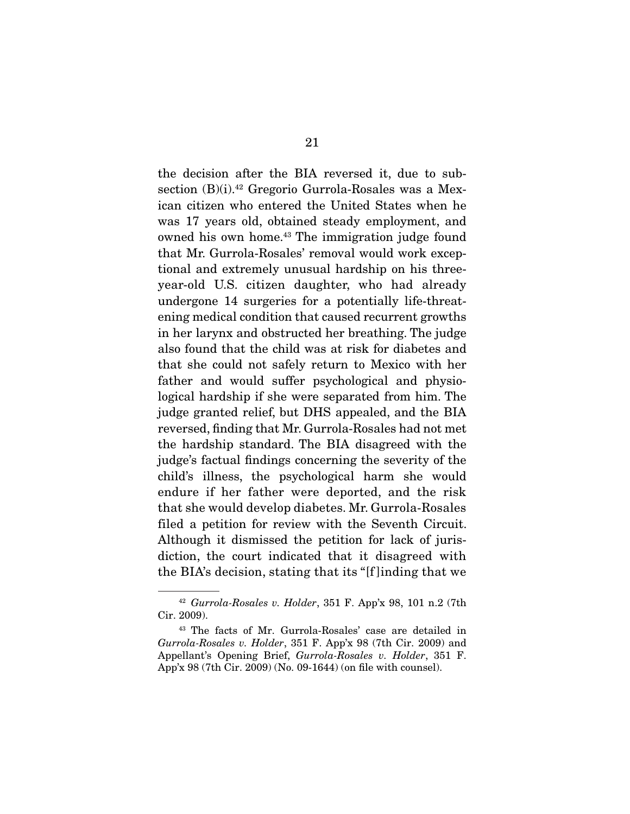the decision after the BIA reversed it, due to subsection (B)(i).<sup>42</sup> Gregorio Gurrola-Rosales was a Mexican citizen who entered the United States when he was 17 years old, obtained steady employment, and owned his own home.<sup>43</sup> The immigration judge found that Mr. Gurrola-Rosales' removal would work exceptional and extremely unusual hardship on his threeyear-old U.S. citizen daughter, who had already undergone 14 surgeries for a potentially life-threatening medical condition that caused recurrent growths in her larynx and obstructed her breathing. The judge also found that the child was at risk for diabetes and that she could not safely return to Mexico with her father and would suffer psychological and physiological hardship if she were separated from him. The judge granted relief, but DHS appealed, and the BIA reversed, finding that Mr. Gurrola-Rosales had not met the hardship standard. The BIA disagreed with the judge's factual findings concerning the severity of the child's illness, the psychological harm she would endure if her father were deported, and the risk that she would develop diabetes. Mr. Gurrola-Rosales filed a petition for review with the Seventh Circuit. Although it dismissed the petition for lack of jurisdiction, the court indicated that it disagreed with the BIA's decision, stating that its "[f ]inding that we

<sup>42</sup> *Gurrola-Rosales v. Holder*, 351 F. App'x 98, 101 n.2 (7th Cir. 2009).

<sup>43</sup> The facts of Mr. Gurrola-Rosales' case are detailed in *Gurrola-Rosales v. Holder*, 351 F. App'x 98 (7th Cir. 2009) and Appellant's Opening Brief, *Gurrola-Rosales v. Holder*, 351 F. App'x 98 (7th Cir. 2009) (No. 09-1644) (on file with counsel).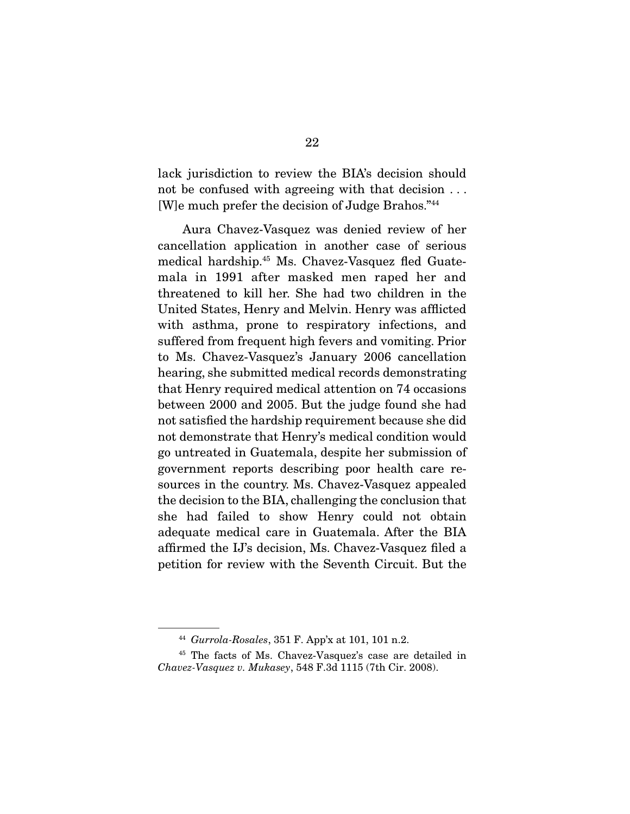lack jurisdiction to review the BIA's decision should not be confused with agreeing with that decision . . . [W]e much prefer the decision of Judge Brahos."44

 Aura Chavez-Vasquez was denied review of her cancellation application in another case of serious medical hardship.45 Ms. Chavez-Vasquez fled Guatemala in 1991 after masked men raped her and threatened to kill her. She had two children in the United States, Henry and Melvin. Henry was afflicted with asthma, prone to respiratory infections, and suffered from frequent high fevers and vomiting. Prior to Ms. Chavez-Vasquez's January 2006 cancellation hearing, she submitted medical records demonstrating that Henry required medical attention on 74 occasions between 2000 and 2005. But the judge found she had not satisfied the hardship requirement because she did not demonstrate that Henry's medical condition would go untreated in Guatemala, despite her submission of government reports describing poor health care resources in the country. Ms. Chavez-Vasquez appealed the decision to the BIA, challenging the conclusion that she had failed to show Henry could not obtain adequate medical care in Guatemala. After the BIA affirmed the IJ's decision, Ms. Chavez-Vasquez filed a petition for review with the Seventh Circuit. But the

<sup>44</sup> *Gurrola-Rosales*, 351 F. App'x at 101, 101 n.2.

<sup>45</sup> The facts of Ms. Chavez-Vasquez's case are detailed in *Chavez-Vasquez v. Mukasey*, 548 F.3d 1115 (7th Cir. 2008).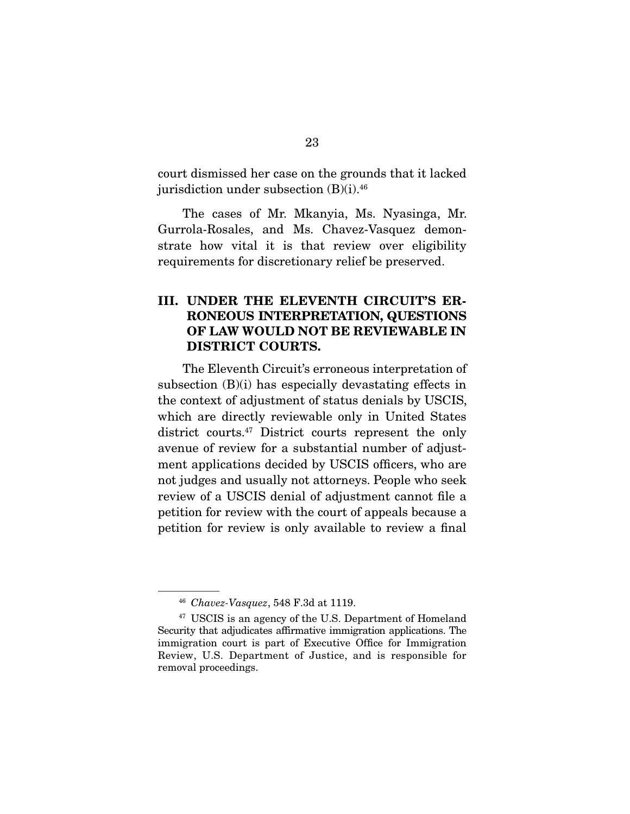court dismissed her case on the grounds that it lacked jurisdiction under subsection  $(B)(i).46$ 

 The cases of Mr. Mkanyia, Ms. Nyasinga, Mr. Gurrola-Rosales, and Ms. Chavez-Vasquez demonstrate how vital it is that review over eligibility requirements for discretionary relief be preserved.

### **III. UNDER THE ELEVENTH CIRCUIT'S ER-RONEOUS INTERPRETATION, QUESTIONS OF LAW WOULD NOT BE REVIEWABLE IN DISTRICT COURTS.**

 The Eleventh Circuit's erroneous interpretation of subsection (B)(i) has especially devastating effects in the context of adjustment of status denials by USCIS, which are directly reviewable only in United States district courts.47 District courts represent the only avenue of review for a substantial number of adjustment applications decided by USCIS officers, who are not judges and usually not attorneys. People who seek review of a USCIS denial of adjustment cannot file a petition for review with the court of appeals because a petition for review is only available to review a final

<sup>46</sup> *Chavez-Vasquez*, 548 F.3d at 1119.

<sup>47</sup> USCIS is an agency of the U.S. Department of Homeland Security that adjudicates affirmative immigration applications. The immigration court is part of Executive Office for Immigration Review, U.S. Department of Justice, and is responsible for removal proceedings.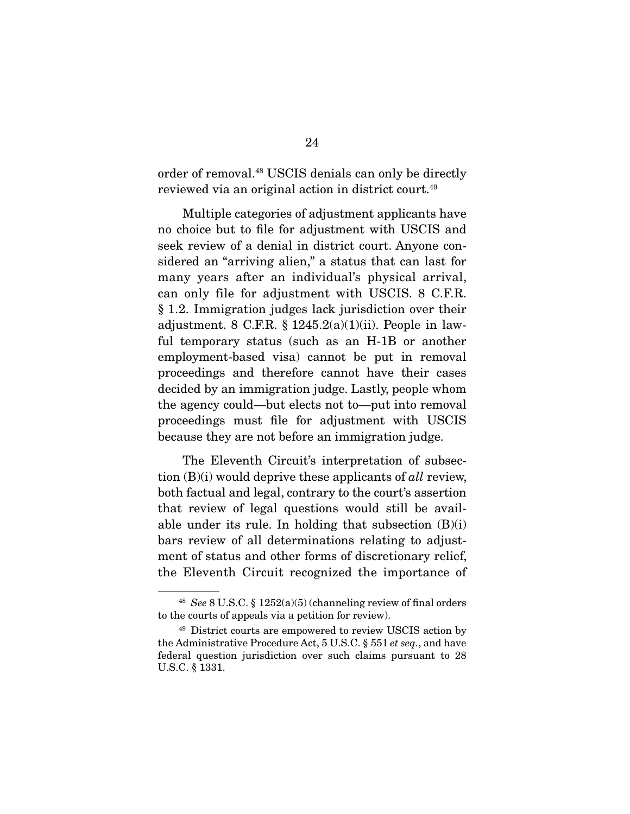order of removal.48 USCIS denials can only be directly reviewed via an original action in district court.49

 Multiple categories of adjustment applicants have no choice but to file for adjustment with USCIS and seek review of a denial in district court. Anyone considered an "arriving alien," a status that can last for many years after an individual's physical arrival, can only file for adjustment with USCIS. 8 C.F.R. § 1.2. Immigration judges lack jurisdiction over their adjustment. 8 C.F.R.  $\S$  1245.2(a)(1)(ii). People in lawful temporary status (such as an H-1B or another employment-based visa) cannot be put in removal proceedings and therefore cannot have their cases decided by an immigration judge. Lastly, people whom the agency could—but elects not to—put into removal proceedings must file for adjustment with USCIS because they are not before an immigration judge.

 The Eleventh Circuit's interpretation of subsection (B)(i) would deprive these applicants of *all* review, both factual and legal, contrary to the court's assertion that review of legal questions would still be available under its rule. In holding that subsection (B)(i) bars review of all determinations relating to adjustment of status and other forms of discretionary relief, the Eleventh Circuit recognized the importance of

<sup>48</sup> *See* 8 U.S.C. § 1252(a)(5) (channeling review of final orders to the courts of appeals via a petition for review).

<sup>49</sup> District courts are empowered to review USCIS action by the Administrative Procedure Act, 5 U.S.C. § 551 *et seq.*, and have federal question jurisdiction over such claims pursuant to 28 U.S.C. § 1331.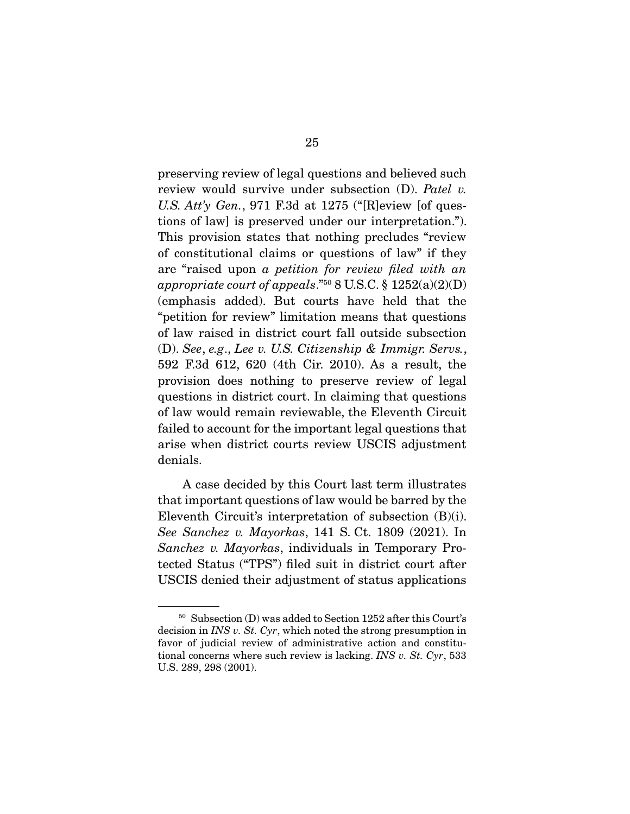preserving review of legal questions and believed such review would survive under subsection (D). *Patel v. U.S. Att'y Gen.*, 971 F.3d at 1275 ("[R]eview [of questions of law] is preserved under our interpretation."). This provision states that nothing precludes "review of constitutional claims or questions of law" if they are "raised upon *a petition for review filed with an appropriate court of appeals*."50 8 U.S.C. § 1252(a)(2)(D) (emphasis added). But courts have held that the "petition for review" limitation means that questions of law raised in district court fall outside subsection (D). *See*, *e.g*., *Lee v. U.S. Citizenship & Immigr. Servs.*, 592 F.3d 612, 620 (4th Cir. 2010). As a result, the provision does nothing to preserve review of legal questions in district court. In claiming that questions of law would remain reviewable, the Eleventh Circuit failed to account for the important legal questions that arise when district courts review USCIS adjustment denials.

 A case decided by this Court last term illustrates that important questions of law would be barred by the Eleventh Circuit's interpretation of subsection (B)(i). *See Sanchez v. Mayorkas*, 141 S. Ct. 1809 (2021). In *Sanchez v. Mayorkas*, individuals in Temporary Protected Status ("TPS") filed suit in district court after USCIS denied their adjustment of status applications

<sup>50</sup> Subsection (D) was added to Section 1252 after this Court's decision in *INS v. St. Cyr*, which noted the strong presumption in favor of judicial review of administrative action and constitutional concerns where such review is lacking. *INS v. St. Cyr*, 533 U.S. 289, 298 (2001).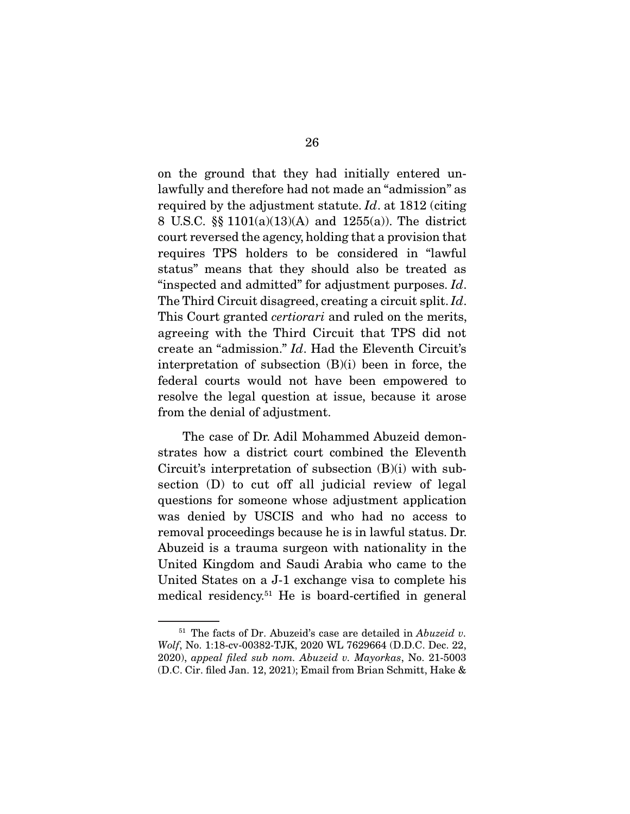on the ground that they had initially entered unlawfully and therefore had not made an "admission" as required by the adjustment statute. *Id*. at 1812 (citing 8 U.S.C. §§ 1101(a)(13)(A) and 1255(a)). The district court reversed the agency, holding that a provision that requires TPS holders to be considered in "lawful status" means that they should also be treated as "inspected and admitted" for adjustment purposes. *Id*. The Third Circuit disagreed, creating a circuit split. *Id*. This Court granted *certiorari* and ruled on the merits, agreeing with the Third Circuit that TPS did not create an "admission." *Id*. Had the Eleventh Circuit's interpretation of subsection (B)(i) been in force, the federal courts would not have been empowered to resolve the legal question at issue, because it arose from the denial of adjustment.

 The case of Dr. Adil Mohammed Abuzeid demonstrates how a district court combined the Eleventh Circuit's interpretation of subsection (B)(i) with subsection (D) to cut off all judicial review of legal questions for someone whose adjustment application was denied by USCIS and who had no access to removal proceedings because he is in lawful status. Dr. Abuzeid is a trauma surgeon with nationality in the United Kingdom and Saudi Arabia who came to the United States on a J-1 exchange visa to complete his medical residency.51 He is board-certified in general

<sup>51</sup> The facts of Dr. Abuzeid's case are detailed in *Abuzeid v. Wolf*, No. 1:18-cv-00382-TJK, 2020 WL 7629664 (D.D.C. Dec. 22, 2020), *appeal filed sub nom. Abuzeid v. Mayorkas*, No. 21-5003 (D.C. Cir. filed Jan. 12, 2021); Email from Brian Schmitt, Hake &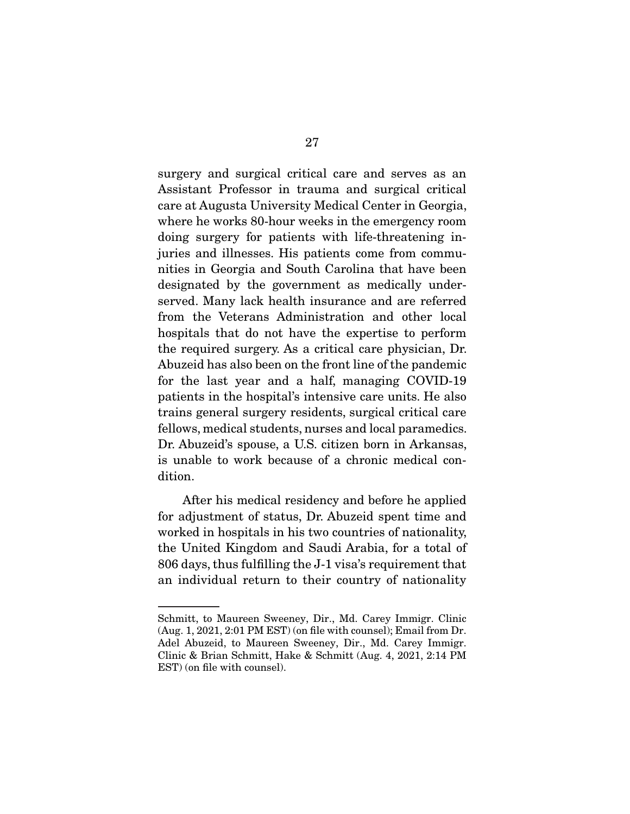surgery and surgical critical care and serves as an Assistant Professor in trauma and surgical critical care at Augusta University Medical Center in Georgia, where he works 80-hour weeks in the emergency room doing surgery for patients with life-threatening injuries and illnesses. His patients come from communities in Georgia and South Carolina that have been designated by the government as medically underserved. Many lack health insurance and are referred from the Veterans Administration and other local hospitals that do not have the expertise to perform the required surgery. As a critical care physician, Dr. Abuzeid has also been on the front line of the pandemic for the last year and a half, managing COVID-19 patients in the hospital's intensive care units. He also trains general surgery residents, surgical critical care fellows, medical students, nurses and local paramedics. Dr. Abuzeid's spouse, a U.S. citizen born in Arkansas, is unable to work because of a chronic medical condition.

 After his medical residency and before he applied for adjustment of status, Dr. Abuzeid spent time and worked in hospitals in his two countries of nationality, the United Kingdom and Saudi Arabia, for a total of 806 days, thus fulfilling the J-1 visa's requirement that an individual return to their country of nationality

Schmitt, to Maureen Sweeney, Dir., Md. Carey Immigr. Clinic (Aug. 1, 2021, 2:01 PM EST) (on file with counsel); Email from Dr. Adel Abuzeid, to Maureen Sweeney, Dir., Md. Carey Immigr. Clinic & Brian Schmitt, Hake & Schmitt (Aug. 4, 2021, 2:14 PM EST) (on file with counsel).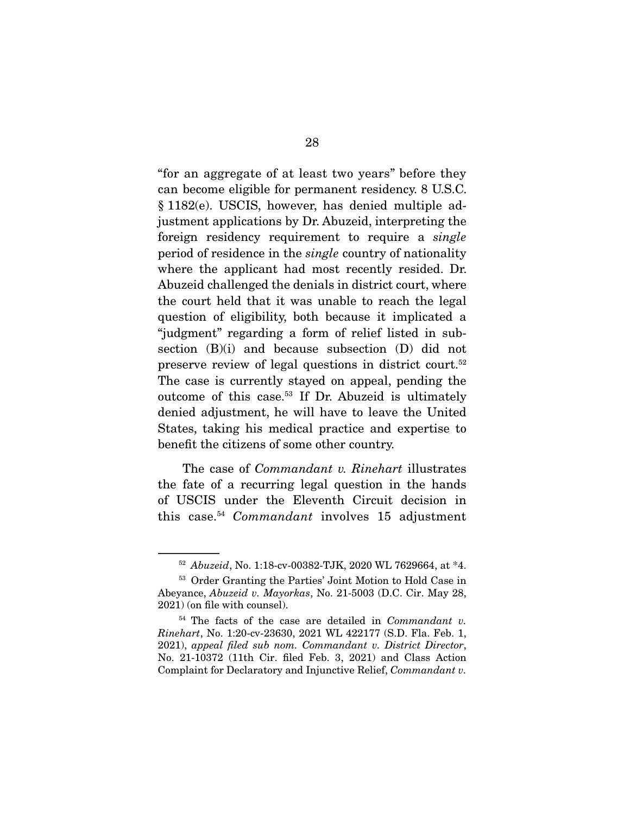"for an aggregate of at least two years" before they can become eligible for permanent residency. 8 U.S.C. § 1182(e). USCIS, however, has denied multiple adjustment applications by Dr. Abuzeid, interpreting the foreign residency requirement to require a *single*  period of residence in the *single* country of nationality where the applicant had most recently resided. Dr. Abuzeid challenged the denials in district court, where the court held that it was unable to reach the legal question of eligibility, both because it implicated a "judgment" regarding a form of relief listed in subsection (B)(i) and because subsection (D) did not preserve review of legal questions in district court.52 The case is currently stayed on appeal, pending the outcome of this case.53 If Dr. Abuzeid is ultimately denied adjustment, he will have to leave the United States, taking his medical practice and expertise to benefit the citizens of some other country.

 The case of *Commandant v. Rinehart* illustrates the fate of a recurring legal question in the hands of USCIS under the Eleventh Circuit decision in this case.54 *Commandant* involves 15 adjustment

<sup>52</sup> *Abuzeid*, No. 1:18-cv-00382-TJK, 2020 WL 7629664, at \*4.

<sup>53</sup> Order Granting the Parties' Joint Motion to Hold Case in Abeyance, *Abuzeid v. Mayorkas*, No. 21-5003 (D.C. Cir. May 28, 2021) (on file with counsel).

<sup>54</sup> The facts of the case are detailed in *Commandant v. Rinehart*, No. 1:20-cv-23630, 2021 WL 422177 (S.D. Fla. Feb. 1, 2021), *appeal filed sub nom. Commandant v. District Director*, No. 21-10372 (11th Cir. filed Feb. 3, 2021) and Class Action Complaint for Declaratory and Injunctive Relief, *Commandant v.*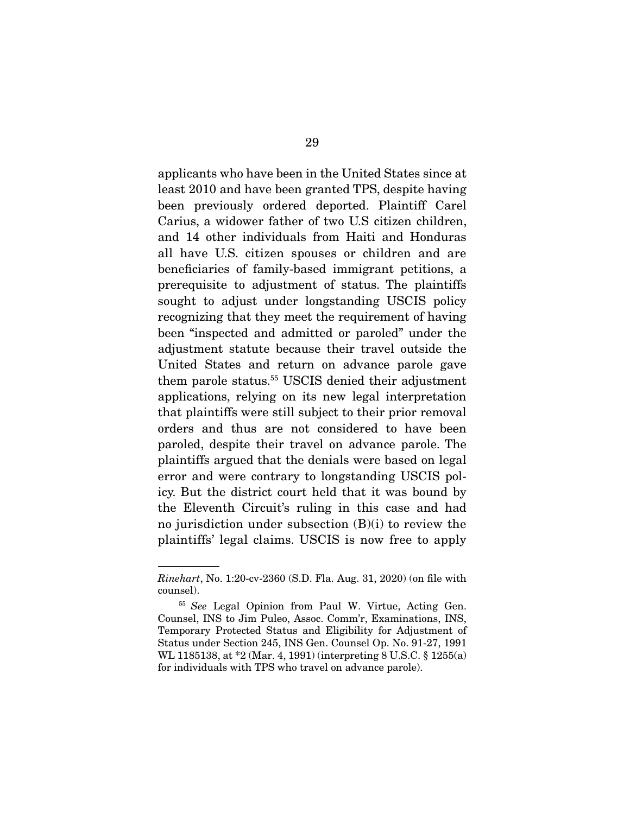applicants who have been in the United States since at least 2010 and have been granted TPS, despite having been previously ordered deported. Plaintiff Carel Carius, a widower father of two U.S citizen children, and 14 other individuals from Haiti and Honduras all have U.S. citizen spouses or children and are beneficiaries of family-based immigrant petitions, a prerequisite to adjustment of status. The plaintiffs sought to adjust under longstanding USCIS policy recognizing that they meet the requirement of having been "inspected and admitted or paroled" under the adjustment statute because their travel outside the United States and return on advance parole gave them parole status.55 USCIS denied their adjustment applications, relying on its new legal interpretation that plaintiffs were still subject to their prior removal orders and thus are not considered to have been paroled, despite their travel on advance parole. The plaintiffs argued that the denials were based on legal error and were contrary to longstanding USCIS policy. But the district court held that it was bound by the Eleventh Circuit's ruling in this case and had no jurisdiction under subsection (B)(i) to review the plaintiffs' legal claims. USCIS is now free to apply

*Rinehart*, No. 1:20-cv-2360 (S.D. Fla. Aug. 31, 2020) (on file with counsel).

<sup>55</sup> *See* Legal Opinion from Paul W. Virtue, Acting Gen. Counsel, INS to Jim Puleo, Assoc. Comm'r, Examinations, INS, Temporary Protected Status and Eligibility for Adjustment of Status under Section 245, INS Gen. Counsel Op. No. 91-27, 1991 WL 1185138, at \*2 (Mar. 4, 1991) (interpreting 8 U.S.C. § 1255(a) for individuals with TPS who travel on advance parole).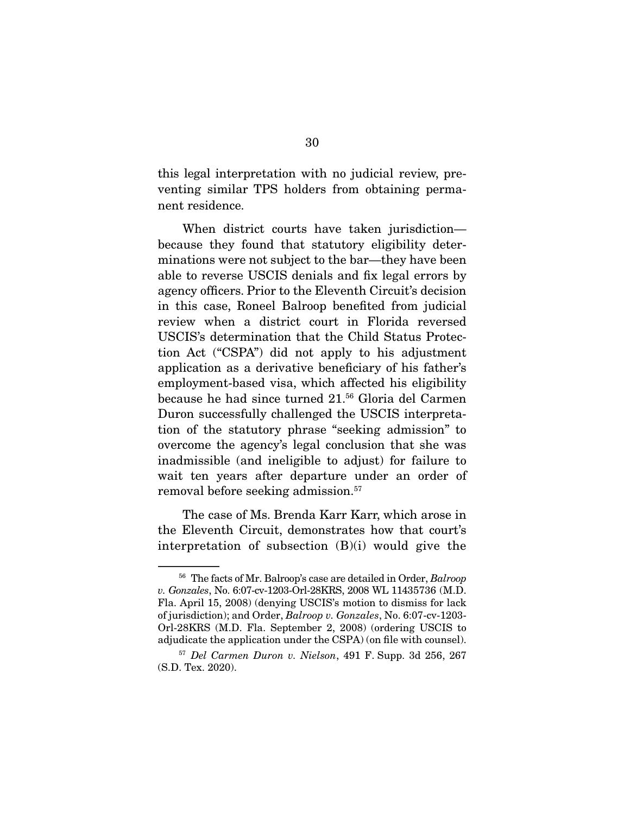this legal interpretation with no judicial review, preventing similar TPS holders from obtaining permanent residence.

 When district courts have taken jurisdiction because they found that statutory eligibility determinations were not subject to the bar—they have been able to reverse USCIS denials and fix legal errors by agency officers. Prior to the Eleventh Circuit's decision in this case, Roneel Balroop benefited from judicial review when a district court in Florida reversed USCIS's determination that the Child Status Protection Act ("CSPA") did not apply to his adjustment application as a derivative beneficiary of his father's employment-based visa, which affected his eligibility because he had since turned 21.56 Gloria del Carmen Duron successfully challenged the USCIS interpretation of the statutory phrase "seeking admission" to overcome the agency's legal conclusion that she was inadmissible (and ineligible to adjust) for failure to wait ten years after departure under an order of removal before seeking admission.<sup>57</sup>

 The case of Ms. Brenda Karr Karr, which arose in the Eleventh Circuit, demonstrates how that court's interpretation of subsection  $(B)(i)$  would give the

<sup>56</sup> The facts of Mr. Balroop's case are detailed in Order, *Balroop v. Gonzales*, No. 6:07-cv-1203-Orl-28KRS, 2008 WL 11435736 (M.D. Fla. April 15, 2008) (denying USCIS's motion to dismiss for lack of jurisdiction); and Order, *Balroop v. Gonzales*, No. 6:07-cv-1203- Orl-28KRS (M.D. Fla. September 2, 2008) (ordering USCIS to adjudicate the application under the CSPA) (on file with counsel).

<sup>57</sup> *Del Carmen Duron v. Nielson*, 491 F. Supp. 3d 256, 267 (S.D. Tex. 2020).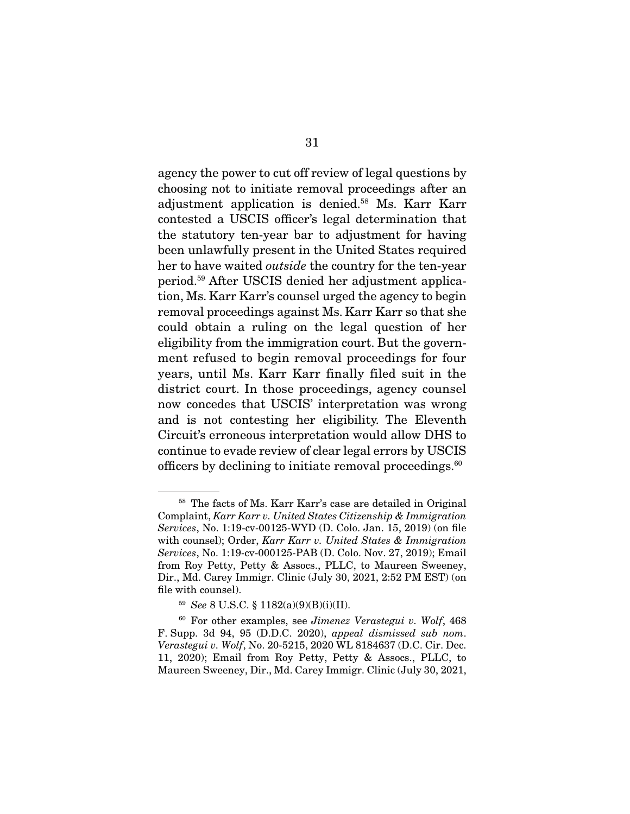agency the power to cut off review of legal questions by choosing not to initiate removal proceedings after an adjustment application is denied.58 Ms. Karr Karr contested a USCIS officer's legal determination that the statutory ten-year bar to adjustment for having been unlawfully present in the United States required her to have waited *outside* the country for the ten-year period.59 After USCIS denied her adjustment application, Ms. Karr Karr's counsel urged the agency to begin removal proceedings against Ms. Karr Karr so that she could obtain a ruling on the legal question of her eligibility from the immigration court. But the government refused to begin removal proceedings for four years, until Ms. Karr Karr finally filed suit in the district court. In those proceedings, agency counsel now concedes that USCIS' interpretation was wrong and is not contesting her eligibility. The Eleventh Circuit's erroneous interpretation would allow DHS to continue to evade review of clear legal errors by USCIS officers by declining to initiate removal proceedings. $60$ 

<sup>58</sup> The facts of Ms. Karr Karr's case are detailed in Original Complaint, *Karr Karr v. United States Citizenship & Immigration Services*, No. 1:19-cv-00125-WYD (D. Colo. Jan. 15, 2019) (on file with counsel); Order, *Karr Karr v. United States & Immigration Services*, No. 1:19-cv-000125-PAB (D. Colo. Nov. 27, 2019); Email from Roy Petty, Petty & Assocs., PLLC, to Maureen Sweeney, Dir., Md. Carey Immigr. Clinic (July 30, 2021, 2:52 PM EST) (on file with counsel).

<sup>59</sup> *See* 8 U.S.C. § 1182(a)(9)(B)(i)(II).

<sup>60</sup> For other examples, see *Jimenez Verastegui v. Wolf*, 468 F. Supp. 3d 94, 95 (D.D.C. 2020), *appeal dismissed sub nom*. *Verastegui v. Wolf*, No. 20-5215, 2020 WL 8184637 (D.C. Cir. Dec. 11, 2020); Email from Roy Petty, Petty & Assocs., PLLC, to Maureen Sweeney, Dir., Md. Carey Immigr. Clinic (July 30, 2021,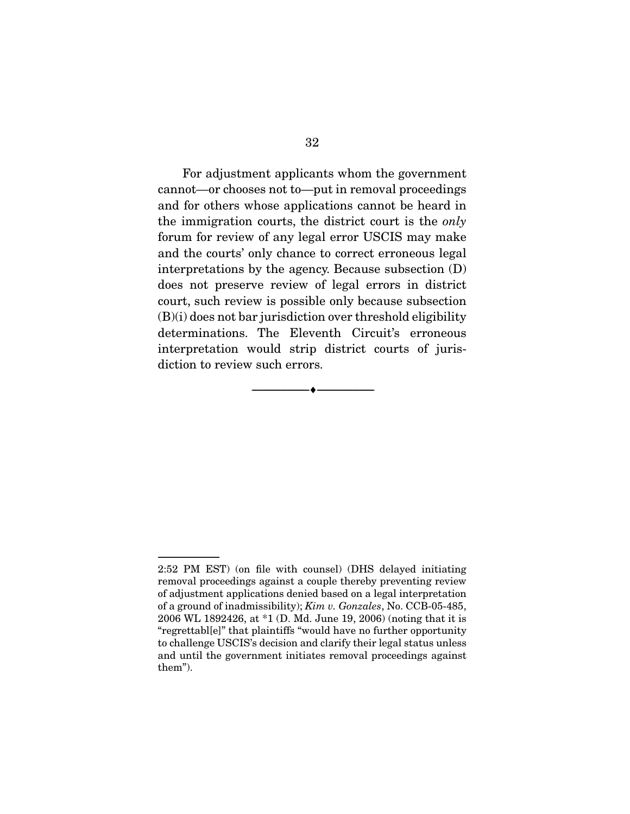For adjustment applicants whom the government cannot—or chooses not to—put in removal proceedings and for others whose applications cannot be heard in the immigration courts, the district court is the *only*  forum for review of any legal error USCIS may make and the courts' only chance to correct erroneous legal interpretations by the agency. Because subsection (D) does not preserve review of legal errors in district court, such review is possible only because subsection  $(B)(i)$  does not bar jurisdiction over threshold eligibility determinations. The Eleventh Circuit's erroneous interpretation would strip district courts of jurisdiction to review such errors.

 $\overbrace{\hspace{2.5cm}}^{\bullet}$   $\overbrace{\hspace{2.5cm}}^{\bullet}$ 

<sup>2:52</sup> PM EST) (on file with counsel) (DHS delayed initiating removal proceedings against a couple thereby preventing review of adjustment applications denied based on a legal interpretation of a ground of inadmissibility); *Kim v. Gonzales*, No. CCB-05-485, 2006 WL 1892426, at \*1 (D. Md. June 19, 2006) (noting that it is "regrettabl[e]" that plaintiffs "would have no further opportunity to challenge USCIS's decision and clarify their legal status unless and until the government initiates removal proceedings against them").